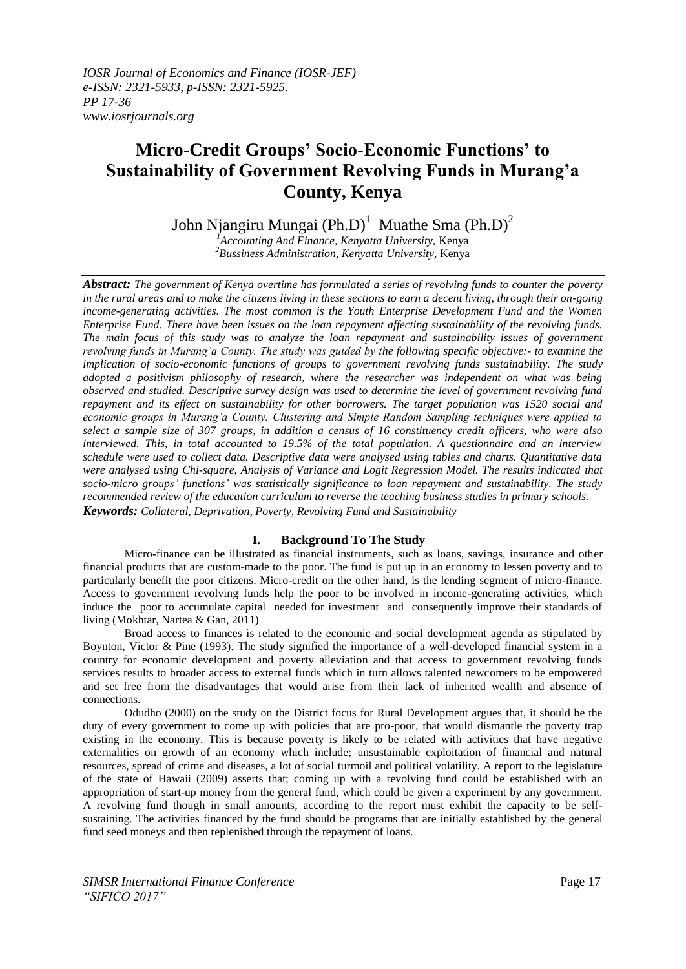# **Micro-Credit Groups' Socio-Economic Functions' to Sustainability of Government Revolving Funds in Murang'a County, Kenya**

John Njangiru Mungai (Ph.D)<sup>1</sup> Muathe Sma (Ph.D)<sup>2</sup>

*<sup>1</sup>Accounting And Finance, Kenyatta University,* Kenya *<sup>2</sup>Bussiness Administration, Kenyatta University,* Kenya

*Abstract: The government of Kenya overtime has formulated a series of revolving funds to counter the poverty in the rural areas and to make the citizens living in these sections to earn a decent living, through their on-going income-generating activities. The most common is the Youth Enterprise Development Fund and the Women Enterprise Fund. There have been issues on the loan repayment affecting sustainability of the revolving funds. The main focus of this study was to analyze the loan repayment and sustainability issues of government revolving funds in Murang'a County. The study was guided by the following specific objective:- to examine the implication of socio-economic functions of groups to government revolving funds sustainability. The study adopted a positivism philosophy of research, where the researcher was independent on what was being observed and studied. Descriptive survey design was used to determine the level of government revolving fund repayment and its effect on sustainability for other borrowers. The target population was 1520 social and economic groups in Murang'a County. Clustering and Simple Random Sampling techniques were applied to select a sample size of 307 groups, in addition a census of 16 constituency credit officers, who were also interviewed. This, in total accounted to 19.5% of the total population. A questionnaire and an interview schedule were used to collect data. Descriptive data were analysed using tables and charts. Quantitative data were analysed using Chi-square, Analysis of Variance and Logit Regression Model. The results indicated that socio-micro groups' functions' was statistically significance to loan repayment and sustainability. The study recommended review of the education curriculum to reverse the teaching business studies in primary schools. Keywords: Collateral, Deprivation, Poverty, Revolving Fund and Sustainability*

# **I. Background To The Study**

Micro-finance can be illustrated as financial instruments, such as loans, savings, insurance and other financial products that are custom-made to the poor. The fund is put up in an economy to lessen poverty and to particularly benefit the poor citizens. Micro-credit on the other hand, is the lending segment of micro-finance. Access to government revolving funds help the poor to be involved in income-generating activities, which induce the poor to accumulate capital needed for investment and consequently improve their standards of living (Mokhtar, Nartea & Gan, 2011)

Broad access to finances is related to the economic and social development agenda as stipulated by Boynton, Victor & Pine (1993). The study signified the importance of a well-developed financial system in a country for economic development and poverty alleviation and that access to government revolving funds services results to broader access to external funds which in turn allows talented newcomers to be empowered and set free from the disadvantages that would arise from their lack of inherited wealth and absence of connections.

Odudho (2000) on the study on the District focus for Rural Development argues that, it should be the duty of every government to come up with policies that are pro-poor, that would dismantle the poverty trap existing in the economy. This is because poverty is likely to be related with activities that have negative externalities on growth of an economy which include; unsustainable exploitation of financial and natural resources, spread of crime and diseases, a lot of social turmoil and political volatility. A report to the legislature of the state of Hawaii (2009) asserts that; coming up with a revolving fund could be established with an appropriation of start-up money from the general fund, which could be given a experiment by any government. A revolving fund though in small amounts, according to the report must exhibit the capacity to be selfsustaining. The activities financed by the fund should be programs that are initially established by the general fund seed moneys and then replenished through the repayment of loans.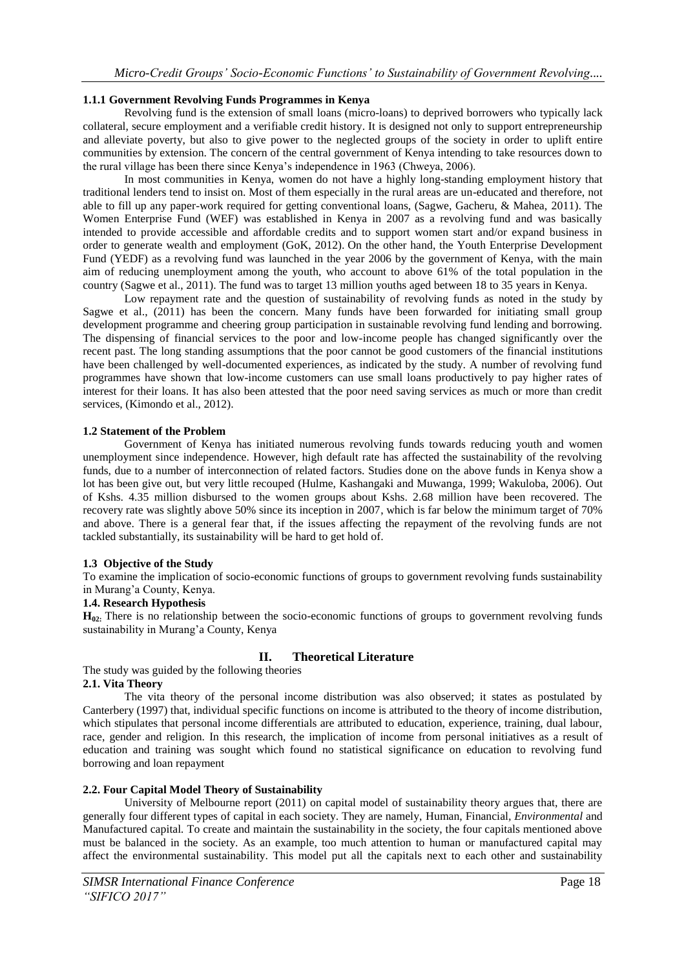# **1.1.1 Government Revolving Funds Programmes in Kenya**

Revolving fund is the extension of small [loans](http://en.wikipedia.org/wiki/Loan) (micro-loans) to deprived borrowers who typically lack [collateral,](http://en.wikipedia.org/wiki/Collateral_%28finance%29) secure employment and a verifiable [credit history.](http://en.wikipedia.org/wiki/Credit_history) It is designed not only to support entrepreneurship and alleviate poverty, but also to give power to the neglected groups of the society in order to uplift entire communities by extension. The concern of the central government of Kenya intending to take resources down to the rural village has been there since Kenya's independence in 1963 (Chweya, 2006).

In most communities in Kenya, women do not have a highly long-standing employment history that traditional lenders tend to insist on. Most of them especially in the rural areas are un-educated and therefore, not able to fill up any paper-work required for getting conventional loans, (Sagwe, Gacheru, & Mahea, 2011). The Women Enterprise Fund (WEF) was established in Kenya in 2007 as a revolving fund and was basically intended to provide accessible and affordable credits and to support women start and/or expand business in order to generate wealth and employment (GoK, 2012). On the other hand, the Youth Enterprise Development Fund (YEDF) as a revolving fund was launched in the year 2006 by the government of Kenya, with the main aim of reducing unemployment among the youth, who account to above 61% of the total population in the country (Sagwe et al., 2011). The fund was to target 13 million youths aged between 18 to 35 years in Kenya.

Low repayment rate and the question of sustainability of revolving funds as noted in the study by Sagwe et al., (2011) has been the concern. Many funds have been forwarded for initiating small group development programme and cheering group participation in sustainable revolving fund lending and borrowing. The dispensing of financial services to the poor and low-income people has changed significantly over the recent past. The long standing assumptions that the poor cannot be good customers of the financial institutions have been challenged by well-documented experiences, as indicated by the study. A number of revolving fund programmes have shown that low-income customers can use small loans productively to pay higher rates of interest for their loans. It has also been attested that the poor need saving services as much or more than credit services, (Kimondo et al., 2012).

#### **1.2 Statement of the Problem**

Government of Kenya has initiated numerous revolving funds towards reducing youth and women unemployment since independence. However, high default rate has affected the sustainability of the revolving funds, due to a number of interconnection of related factors. Studies done on the above funds in Kenya show a lot has been give out, but very little recouped (Hulme, Kashangaki and Muwanga, 1999; Wakuloba, 2006). Out of Kshs. 4.35 million disbursed to the women groups about Kshs. 2.68 million have been recovered. The recovery rate was slightly above 50% since its inception in 2007, which is far below the minimum target of 70% and above. There is a general fear that, if the issues affecting the repayment of the revolving funds are not tackled substantially, its sustainability will be hard to get hold of.

#### **1.3 Objective of the Study**

To examine the implication of socio-economic functions of groups to government revolving funds sustainability in Murang'a County, Kenya.

#### **1.4. Research Hypothesis**

**H**<sub>02</sub>: There is no relationship between the socio-economic functions of groups to government revolving funds sustainability in Murang'a County, Kenya

# **II. Theoretical Literature**

The study was guided by the following theories

# **2.1. Vita Theory**

The vita theory of the personal income distribution was also observed; it states as postulated by Canterbery (1997) that, individual specific functions on income is attributed to the theory of income distribution, which stipulates that personal income differentials are attributed to education, experience, training, dual labour, race, gender and religion. In this research, the implication of income from personal initiatives as a result of education and training was sought which found no statistical significance on education to revolving fund borrowing and loan repayment

#### **2.2. Four Capital Model Theory of Sustainability**

University of Melbourne report (2011) on capital model of sustainability theory argues that, there are generally four different types of capital in each society. They are namely, [Human, Financial](http://www.csdila.unimelb.edu.au/sis/Sustainability_Theories/Four_capital_model.html)*, Environmental* and [Manufactured capital](http://www.csdila.unimelb.edu.au/sis/Sustainability_Theories/Four_capital_model.html)*.* To create and maintain the sustainability in the society, the four capitals mentioned above must be balanced in the society. As an example, too much attention to human or manufactured capital may affect the environmental sustainability. This model put all the capitals next to each other and sustainability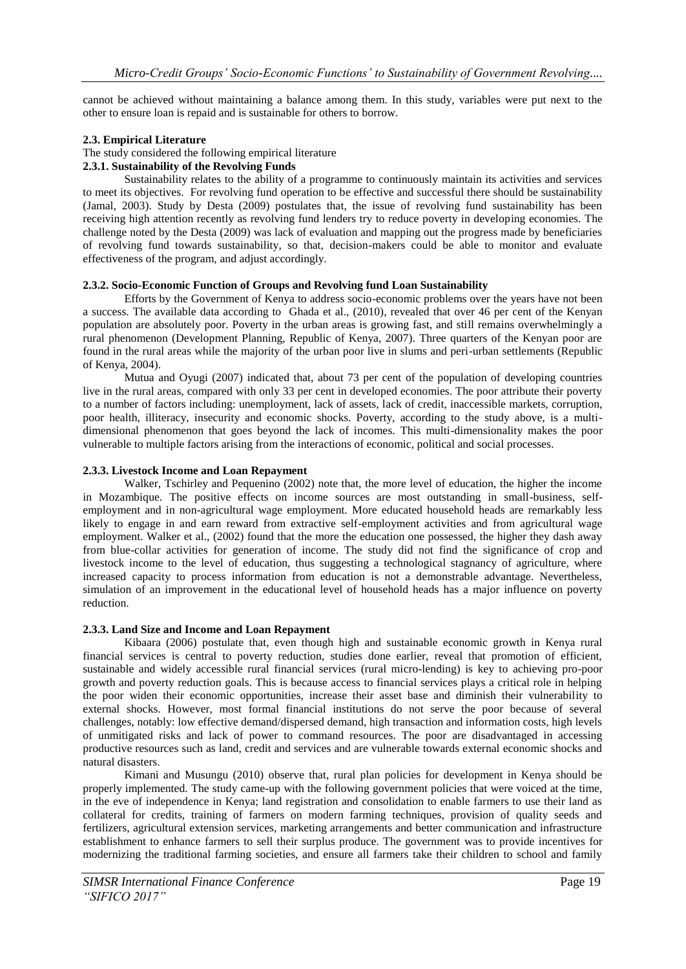cannot be achieved without maintaining a balance among them. In this study, variables were put next to the other to ensure loan is repaid and is sustainable for others to borrow.

#### **2.3. Empirical Literature**

The study considered the following empirical literature

#### **2.3.1. Sustainability of the Revolving Funds**

Sustainability relates to the ability of a programme to continuously maintain its activities and services to meet its objectives. For revolving fund operation to be effective and successful there should be sustainability (Jamal, 2003). Study by Desta (2009) postulates that, the issue of revolving fund sustainability has been receiving high attention recently as revolving fund lenders try to reduce poverty in developing economies. The challenge noted by the Desta (2009) was lack of evaluation and mapping out the progress made by beneficiaries of revolving fund towards sustainability, so that, decision-makers could be able to monitor and evaluate effectiveness of the program, and adjust accordingly.

#### **2.3.2. Socio-Economic Function of Groups and Revolving fund Loan Sustainability**

Efforts by the Government of Kenya to address socio-economic problems over the years have not been a success. The available data according to Ghada et al., (2010), revealed that over 46 per cent of the Kenyan population are absolutely poor. Poverty in the urban areas is growing fast, and still remains overwhelmingly a rural phenomenon (Development Planning, Republic of Kenya, 2007). Three quarters of the Kenyan poor are found in the rural areas while the majority of the urban poor live in slums and peri-urban settlements (Republic of Kenya, 2004).

Mutua and Oyugi (2007) indicated that, about 73 per cent of the population of developing countries live in the rural areas, compared with only 33 per cent in developed economies. The poor attribute their poverty to a number of factors including: unemployment, lack of assets, lack of credit, inaccessible markets, corruption, poor health, illiteracy, insecurity and economic shocks. Poverty, according to the study above, is a multidimensional phenomenon that goes beyond the lack of incomes. This multi-dimensionality makes the poor vulnerable to multiple factors arising from the interactions of economic, political and social processes.

#### **2.3.3. Livestock Income and Loan Repayment**

Walker, Tschirley and Pequenino (2002) note that, the more level of education, the higher the income in Mozambique. The positive effects on income sources are most outstanding in small-business, selfemployment and in non-agricultural wage employment. More educated household heads are remarkably less likely to engage in and earn reward from extractive self-employment activities and from agricultural wage employment. Walker et al., (2002) found that the more the education one possessed, the higher they dash away from blue-collar activities for generation of income. The study did not find the significance of crop and livestock income to the level of education, thus suggesting a technological stagnancy of agriculture, where increased capacity to process information from education is not a demonstrable advantage. Nevertheless, simulation of an improvement in the educational level of household heads has a major influence on poverty reduction.

#### **2.3.3. Land Size and Income and Loan Repayment**

Kibaara (2006) postulate that, even though high and sustainable economic growth in Kenya rural financial services is central to poverty reduction, studies done earlier, reveal that promotion of efficient, sustainable and widely accessible rural financial services (rural micro-lending) is key to achieving pro-poor growth and poverty reduction goals. This is because access to financial services plays a critical role in helping the poor widen their economic opportunities, increase their asset base and diminish their vulnerability to external shocks. However, most formal financial institutions do not serve the poor because of several challenges, notably: low effective demand/dispersed demand, high transaction and information costs, high levels of unmitigated risks and lack of power to command resources. The poor are disadvantaged in accessing productive resources such as land, credit and services and are vulnerable towards external economic shocks and natural disasters.

Kimani and Musungu (2010) observe that, rural plan policies for development in Kenya should be properly implemented. The study came-up with the following government policies that were voiced at the time, in the eve of independence in Kenya; land registration and consolidation to enable farmers to use their land as collateral for credits, training of farmers on modern farming techniques, provision of quality seeds and fertilizers, agricultural extension services, marketing arrangements and better communication and infrastructure establishment to enhance farmers to sell their surplus produce. The government was to provide incentives for modernizing the traditional farming societies, and ensure all farmers take their children to school and family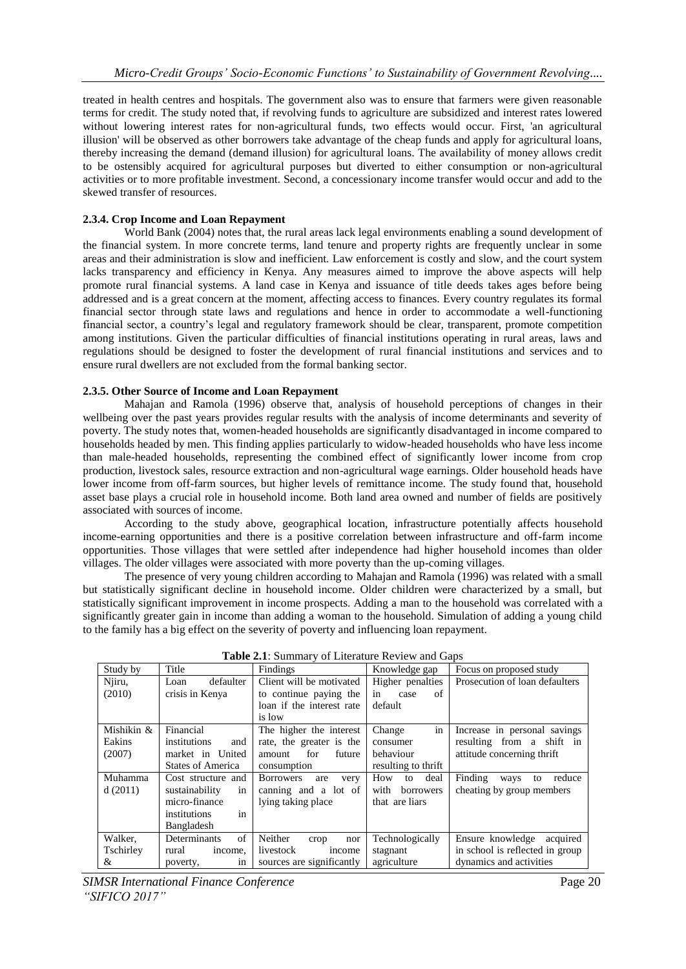treated in health centres and hospitals. The government also was to ensure that farmers were given reasonable terms for credit. The study noted that, if revolving funds to agriculture are subsidized and interest rates lowered without lowering interest rates for non-agricultural funds, two effects would occur. First, 'an agricultural illusion' will be observed as other borrowers take advantage of the cheap funds and apply for agricultural loans, thereby increasing the demand (demand illusion) for agricultural loans. The availability of money allows credit to be ostensibly acquired for agricultural purposes but diverted to either consumption or non-agricultural activities or to more profitable investment. Second, a concessionary income transfer would occur and add to the skewed transfer of resources.

# **2.3.4. Crop Income and Loan Repayment**

World Bank (2004) notes that, the rural areas lack legal environments enabling a sound development of the financial system. In more concrete terms, land tenure and property rights are frequently unclear in some areas and their administration is slow and inefficient. Law enforcement is costly and slow, and the court system lacks transparency and efficiency in Kenya. Any measures aimed to improve the above aspects will help promote rural financial systems. A land case in Kenya and issuance of title deeds takes ages before being addressed and is a great concern at the moment, affecting access to finances. Every country regulates its formal financial sector through state laws and regulations and hence in order to accommodate a well-functioning financial sector, a country's legal and regulatory framework should be clear, transparent, promote competition among institutions. Given the particular difficulties of financial institutions operating in rural areas, laws and regulations should be designed to foster the development of rural financial institutions and services and to ensure rural dwellers are not excluded from the formal banking sector.

#### **2.3.5. Other Source of Income and Loan Repayment**

Mahajan and Ramola (1996) observe that, analysis of household perceptions of changes in their wellbeing over the past years provides regular results with the analysis of income determinants and severity of poverty. The study notes that, women-headed households are significantly disadvantaged in income compared to households headed by men. This finding applies particularly to widow-headed households who have less income than male-headed households, representing the combined effect of significantly lower income from crop production, livestock sales, resource extraction and non-agricultural wage earnings. Older household heads have lower income from off-farm sources, but higher levels of remittance income. The study found that, household asset base plays a crucial role in household income. Both land area owned and number of fields are positively associated with sources of income.

According to the study above, geographical location, infrastructure potentially affects household income-earning opportunities and there is a positive correlation between infrastructure and off-farm income opportunities. Those villages that were settled after independence had higher household incomes than older villages. The older villages were associated with more poverty than the up-coming villages.

The presence of very young children according to Mahajan and Ramola (1996) was related with a small but statistically significant decline in household income. Older children were characterized by a small, but statistically significant improvement in income prospects. Adding a man to the household was correlated with a significantly greater gain in income than adding a woman to the household. Simulation of adding a young child to the family has a big effect on the severity of poverty and influencing loan repayment.

|            | <b>THOIC 211.</b> DUMMING YOU ENCRUGHE INCYTEM GIRL OUDS |                                 |                          |                                 |
|------------|----------------------------------------------------------|---------------------------------|--------------------------|---------------------------------|
| Study by   | Title                                                    | Findings                        | Knowledge gap            | Focus on proposed study         |
| Njiru,     | defaulter<br>Loan                                        | Client will be motivated        | Higher penalties         | Prosecution of loan defaulters  |
| (2010)     | crisis in Kenya                                          | to continue paying the          | in<br>οf<br>case         |                                 |
|            |                                                          | loan if the interest rate       | default                  |                                 |
|            |                                                          | is low                          |                          |                                 |
| Mishikin & | Financial                                                | The higher the interest         | in<br>Change             | Increase in personal savings    |
| Eakins     | institutions<br>and                                      | rate, the greater is the        | consumer                 | resulting from a shift in       |
| (2007)     | market in United                                         | future<br>for<br>amount         | behaviour                | attitude concerning thrift      |
|            | <b>States of America</b>                                 | consumption                     | resulting to thrift      |                                 |
| Muhamma    | Cost structure and                                       | <b>Borrowers</b><br>are<br>very | deal<br>How<br>to        | Finding<br>reduce<br>ways<br>to |
| d(2011)    | sustainability<br>1n                                     | canning and a lot of            | with<br><b>borrowers</b> | cheating by group members       |
|            | micro-finance                                            | lying taking place              | that are liars           |                                 |
|            | institutions<br>in                                       |                                 |                          |                                 |
|            | Bangladesh                                               |                                 |                          |                                 |
| Walker,    | of<br>Determinants                                       | Neither<br>nor<br>crop          | Technologically          | Ensure knowledge<br>acquired    |
| Tschirley  | rural<br>income.                                         | livestock<br>income             | stagnant                 | in school is reflected in group |
| &          | poverty,<br>1n                                           | sources are significantly       | agriculture              | dynamics and activities         |

| Table 2.1: Summary of Literature Review and Gaps |  |  |  |
|--------------------------------------------------|--|--|--|
|--------------------------------------------------|--|--|--|

**SIMSR International Finance Conference** Page 20 *"SIFICO 2017"*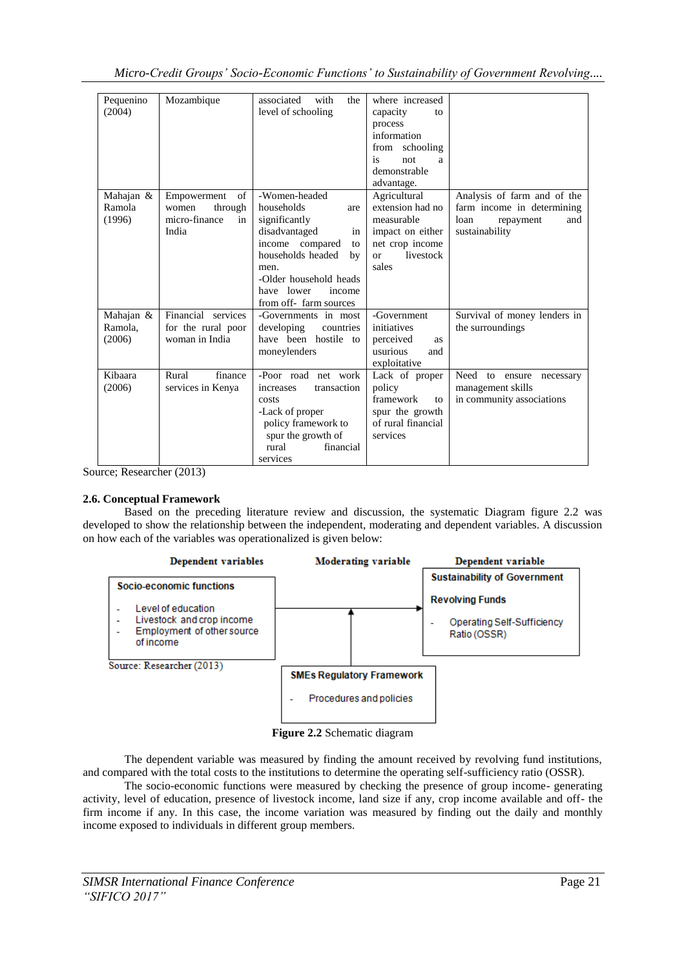| Pequenino<br>(2004)            | Mozambique                                                            | with<br>associated<br>the<br>level of schooling                                                                                                                                                                   | where increased<br>capacity<br>to<br>process<br>information<br>from schooling<br>is<br>not<br>a<br>demonstrable<br>advantage. |                                                                                                         |
|--------------------------------|-----------------------------------------------------------------------|-------------------------------------------------------------------------------------------------------------------------------------------------------------------------------------------------------------------|-------------------------------------------------------------------------------------------------------------------------------|---------------------------------------------------------------------------------------------------------|
| Mahajan &<br>Ramola<br>(1996)  | of<br>Empowerment<br>through<br>women<br>micro-finance<br>in<br>India | -Women-headed<br>households<br>are<br>significantly<br>disadvantaged<br>in<br>income compared<br>to<br>households headed<br>by<br>men.<br>-Older household heads<br>have lower<br>income<br>from off-farm sources | Agricultural<br>extension had no<br>measurable<br>impact on either<br>net crop income<br>livestock<br>$\alpha$<br>sales       | Analysis of farm and of the<br>farm income in determining<br>loan<br>and<br>repayment<br>sustainability |
| Mahajan &<br>Ramola.<br>(2006) | Financial services<br>for the rural poor<br>woman in India            | -Governments in most<br>developing<br>countries<br>have been hostile to<br>moneylenders                                                                                                                           | -Government<br>initiatives<br>perceived<br>as<br>usurious<br>and<br>exploitative                                              | Survival of money lenders in<br>the surroundings                                                        |
| Kibaara<br>(2006)              | Rural<br>finance<br>services in Kenya                                 | -Poor road net work<br>transaction<br>increases<br>costs<br>-Lack of proper<br>policy framework to<br>spur the growth of<br>rural<br>financial<br>services                                                        | Lack of proper<br>policy<br>framework<br>to<br>spur the growth<br>of rural financial<br>services                              | Need to ensure<br>necessary<br>management skills<br>in community associations                           |

Source; Researcher (2013)

# **2.6. Conceptual Framework**

Based on the preceding literature review and discussion, the systematic Diagram figure 2.2 was developed to show the relationship between the independent, moderating and dependent variables. A discussion on how each of the variables was operationalized is given below:



**Figure 2.2** Schematic diagram

The dependent variable was measured by finding the amount received by revolving fund institutions, and compared with the total costs to the institutions to determine the operating self-sufficiency ratio (OSSR).

The socio-economic functions were measured by checking the presence of group income- generating activity, level of education, presence of livestock income, land size if any, crop income available and off- the firm income if any. In this case, the income variation was measured by finding out the daily and monthly income exposed to individuals in different group members.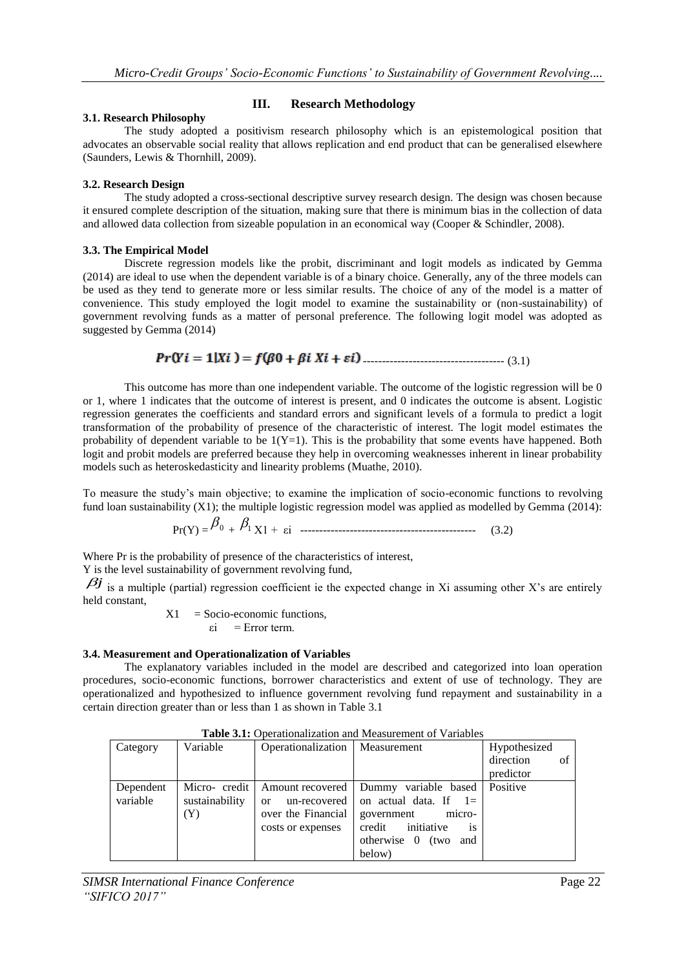# **III. Research Methodology**

#### **3.1. Research Philosophy**

The study adopted a positivism research philosophy which is an epistemological position that advocates an observable social reality that allows replication and end product that can be generalised elsewhere (Saunders, Lewis & Thornhill, 2009).

# **3.2. Research Design**

The study adopted a cross-sectional descriptive survey research design. The design was chosen because it ensured complete description of the situation, making sure that there is minimum bias in the collection of data and allowed data collection from sizeable population in an economical way (Cooper & Schindler, 2008).

# **3.3. The Empirical Model**

Discrete regression models like the probit, discriminant and logit models as indicated by Gemma (2014) are ideal to use when the dependent variable is of a binary choice. Generally, any of the three models can be used as they tend to generate more or less similar results. The choice of any of the model is a matter of convenience. This study employed the logit model to examine the sustainability or (non-sustainability) of government revolving funds as a matter of personal preference. The following logit model was adopted as suggested by Gemma (2014)

------------------------------------- (3.1)

This outcome has more than one independent variable. The outcome of the logistic regression will be 0 or 1, where 1 indicates that the outcome of interest is present, and 0 indicates the outcome is absent. Logistic regression generates the coefficients and standard errors and significant levels of a formula to predict a logit transformation of the probability of presence of the characteristic of interest. The logit model estimates the probability of dependent variable to be  $1(Y=1)$ . This is the probability that some events have happened. Both logit and probit models are preferred because they help in overcoming weaknesses inherent in linear probability models such as heteroskedasticity and linearity problems (Muathe, 2010).

To measure the study's main objective; to examine the implication of socio-economic functions to revolving fund loan sustainability (X1); the multiple logistic regression model was applied as modelled by Gemma (2014):

$$
Pr(Y) = \frac{\beta_0 + \beta_1 X1 + \varepsilon i}{(3.2)}
$$

Where Pr is the probability of presence of the characteristics of interest,

Y is the level sustainability of government revolving fund,

 $\beta j$  is a multiple (partial) regression coefficient ie the expected change in Xi assuming other X's are entirely held constant,

$$
X1 = Socio-economic functions,\n\overline{\varepsilon}i = Error term.
$$

# **3.4. Measurement and Operationalization of Variables**

The explanatory variables included in the model are described and categorized into loan operation procedures, socio-economic functions, borrower characteristics and extent of use of technology. They are operationalized and hypothesized to influence government revolving fund repayment and sustainability in a certain direction greater than or less than 1 as shown in Table 3.1

| Category              | Variable              | Operationalization   Measurement                                                                         |                                                                                                                                               | Hypothesized<br>direction<br>of<br>predictor |
|-----------------------|-----------------------|----------------------------------------------------------------------------------------------------------|-----------------------------------------------------------------------------------------------------------------------------------------------|----------------------------------------------|
| Dependent<br>variable | sustainability<br>(Y) | Micro-credit   Amount recovered<br>$un-recovered$<br>$\alpha$<br>over the Financial<br>costs or expenses | Dummy variable based Positive<br>on actual data. If $1=$<br>micro-<br>government<br>credit initiative<br>is<br>otherwise 0 (two and<br>below) |                                              |

**Table 3.1:** Operationalization and Measurement of Variables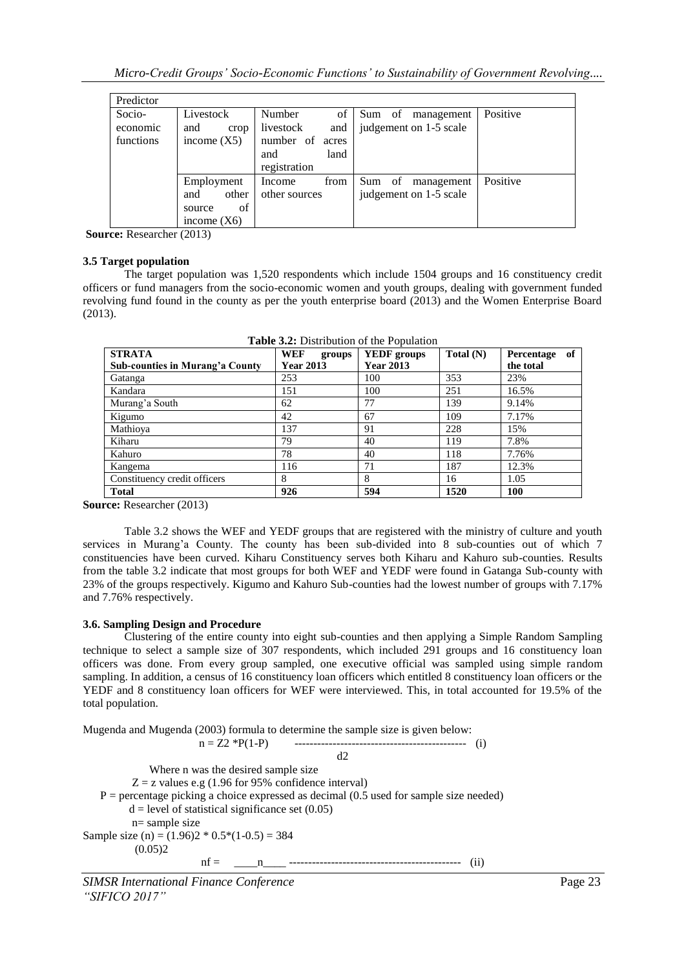| Predictor                       |                                                             |                                                                                       |                                                |          |
|---------------------------------|-------------------------------------------------------------|---------------------------------------------------------------------------------------|------------------------------------------------|----------|
| Socio-<br>economic<br>functions | Livestock<br>and<br>crop<br>income $(X5)$                   | of<br>Number<br>livestock<br>and<br>number of<br>acres<br>land<br>and<br>registration | Sum of<br>management<br>judgement on 1-5 scale | Positive |
|                                 | Employment<br>other<br>and<br>of<br>source<br>income $(X6)$ | from<br>Income<br>other sources                                                       | Sum of<br>management<br>judgement on 1-5 scale | Positive |

**Source:** Researcher (2013)

#### **3.5 Target population**

The target population was 1,520 respondents which include 1504 groups and 16 constituency credit officers or fund managers from the socio-economic women and youth groups, dealing with government funded revolving fund found in the county as per the youth enterprise board (2013) and the Women Enterprise Board (2013).

|                                        | $\mathbf{r}$ and $\mathbf{v}$ is a production of the Follaminon |                    |             |                  |
|----------------------------------------|-----------------------------------------------------------------|--------------------|-------------|------------------|
| <b>STRATA</b>                          | WEF<br>groups                                                   | <b>YEDF</b> groups | Total $(N)$ | of<br>Percentage |
| <b>Sub-counties in Murang'a County</b> | <b>Year 2013</b>                                                | <b>Year 2013</b>   |             | the total        |
| Gatanga                                | 253                                                             | 100                | 353         | 23%              |
| Kandara                                | 151                                                             | 100                | 251         | 16.5%            |
| Murang'a South                         | 62                                                              | 77                 | 139         | 9.14%            |
| Kigumo                                 | 42                                                              | 67                 | 109         | 7.17%            |
| Mathioya                               | 137                                                             | 91                 | 228         | 15%              |
| Kiharu                                 | 79                                                              | 40                 | 119         | 7.8%             |
| Kahuro                                 | 78                                                              | 40                 | 118         | 7.76%            |
| Kangema                                | 116                                                             | 71                 | 187         | 12.3%            |
| Constituency credit officers           | 8                                                               | 8                  | 16          | 1.05             |
| <b>Total</b>                           | 926                                                             | 594                | 1520        | 100              |

**Table 3.2:** Distribution of the Population

**Source:** Researcher (2013)

Table 3.2 shows the WEF and YEDF groups that are registered with the ministry of culture and youth services in Murang'a County. The county has been sub-divided into 8 sub-counties out of which 7 constituencies have been curved. Kiharu Constituency serves both Kiharu and Kahuro sub-counties. Results from the table 3.2 indicate that most groups for both WEF and YEDF were found in Gatanga Sub-county with 23% of the groups respectively. Kigumo and Kahuro Sub-counties had the lowest number of groups with 7.17% and 7.76% respectively.

# **3.6. Sampling Design and Procedure**

Clustering of the entire county into eight sub-counties and then applying a Simple Random Sampling technique to select a sample size of 307 respondents, which included 291 groups and 16 constituency loan officers was done. From every group sampled, one executive official was sampled using simple random sampling. In addition, a census of 16 constituency loan officers which entitled 8 constituency loan officers or the YEDF and 8 constituency loan officers for WEF were interviewed. This, in total accounted for 19.5% of the total population.

Mugenda and Mugenda (2003) formula to determine the sample size is given below: n = Z2 \*P(1-P) --------------------------------------------- (i)  $d2$  Where n was the desired sample size  $Z = z$  values e.g (1.96 for 95% confidence interval)  $P =$  percentage picking a choice expressed as decimal (0.5 used for sample size needed)  $d = level of statistical significance set (0.05)$  n= sample size Sample size (n) =  $(1.96)2 * 0.5*(1-0.5) = 384$  $(0.05)2$ nf = \_\_\_\_n\_\_\_\_ --------------------------------------------- (ii)

*SIMSR International Finance Conference* Page 23 *"SIFICO 2017"*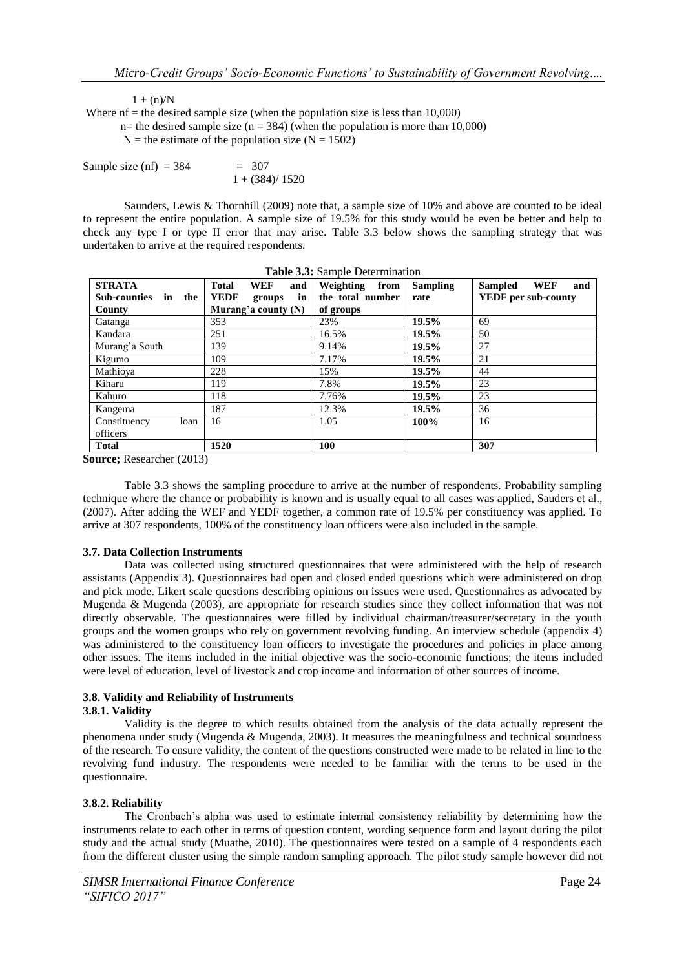$1 + (n)/N$ 

Where  $nf =$  the desired sample size (when the population size is less than 10,000)

n= the desired sample size (n = 384) (when the population is more than 10,000)

 $N =$  the estimate of the population size  $(N = 1502)$ 

Sample size (nf) =  $384 = 307$  $1 + (384)/1520$ 

Saunders, Lewis & Thornhill (2009) note that, a sample size of 10% and above are counted to be ideal to represent the entire population. A sample size of 19.5% for this study would be even be better and help to check any type I or type II error that may arise. Table 3.3 below shows the sampling strategy that was undertaken to arrive at the required respondents.

| <b>Table 3.3:</b> Sample Determination |                                   |                   |                 |                                     |  |
|----------------------------------------|-----------------------------------|-------------------|-----------------|-------------------------------------|--|
| <b>STRATA</b>                          | <b>Total</b><br><b>WEF</b><br>and | Weighting<br>from | <b>Sampling</b> | <b>WEF</b><br><b>Sampled</b><br>and |  |
| Sub-counties<br>in the                 | <b>YEDF</b><br>in<br>groups       | the total number  | rate            | <b>YEDF</b> per sub-county          |  |
| County                                 | Murang'a county $(N)$             | of groups         |                 |                                     |  |
| Gatanga                                | 353                               | 23%               | 19.5%           | 69                                  |  |
| Kandara                                | 251                               | 16.5%             | 19.5%           | 50                                  |  |
| Murang'a South                         | 139                               | 9.14%             | 19.5%           | 27                                  |  |
| Kigumo                                 | 109                               | 7.17%             | 19.5%           | 21                                  |  |
| Mathioya                               | 228                               | 15%               | 19.5%           | 44                                  |  |
| Kiharu                                 | 119                               | 7.8%              | 19.5%           | 23                                  |  |
| Kahuro                                 | 118                               | 7.76%             | 19.5%           | 23                                  |  |
| Kangema                                | 187                               | 12.3%             | 19.5%           | 36                                  |  |
| Constituency<br>loan                   | 16                                | 1.05              | 100%            | 16                                  |  |
| officers                               |                                   |                   |                 |                                     |  |
| <b>Total</b>                           | 1520                              | 100               |                 | 307                                 |  |

**Source;** Researcher (2013)

Table 3.3 shows the sampling procedure to arrive at the number of respondents. Probability sampling technique where the chance or probability is known and is usually equal to all cases was applied, Sauders et al., (2007). After adding the WEF and YEDF together, a common rate of 19.5% per constituency was applied. To arrive at 307 respondents, 100% of the constituency loan officers were also included in the sample.

# **3.7. Data Collection Instruments**

Data was collected using structured questionnaires that were administered with the help of research assistants (Appendix 3). Questionnaires had open and closed ended questions which were administered on drop and pick mode. Likert scale questions describing opinions on issues were used. Questionnaires as advocated by Mugenda & Mugenda (2003), are appropriate for research studies since they collect information that was not directly observable. The questionnaires were filled by individual chairman/treasurer/secretary in the youth groups and the women groups who rely on government revolving funding. An interview schedule (appendix 4) was administered to the constituency loan officers to investigate the procedures and policies in place among other issues. The items included in the initial objective was the socio-economic functions; the items included were level of education, level of livestock and crop income and information of other sources of income.

# **3.8. Validity and Reliability of Instruments**

#### **3.8.1. Validity**

Validity is the degree to which results obtained from the analysis of the data actually represent the phenomena under study (Mugenda & Mugenda, 2003). It measures the meaningfulness and technical soundness of the research. To ensure validity, the content of the questions constructed were made to be related in line to the revolving fund industry. The respondents were needed to be familiar with the terms to be used in the questionnaire.

# **3.8.2. Reliability**

The Cronbach's alpha was used to estimate internal consistency reliability by determining how the instruments relate to each other in terms of question content, wording sequence form and layout during the pilot study and the actual study (Muathe, 2010). The questionnaires were tested on a sample of 4 respondents each from the different cluster using the simple random sampling approach. The pilot study sample however did not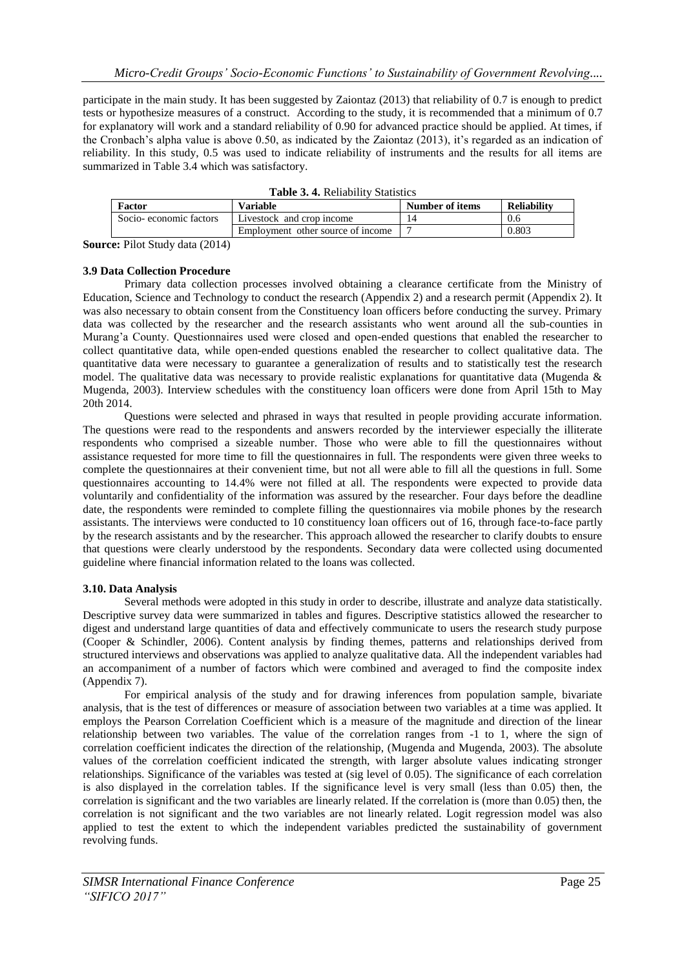participate in the main study. It has been suggested by Zaiontaz (2013) that reliability of 0.7 is enough to predict tests or hypothesize measures of a construct. According to the study, it is recommended that a minimum of 0.7 for explanatory will work and a standard reliability of 0.90 for advanced practice should be applied. At times, if the Cronbach's alpha value is above 0.50, as indicated by the Zaiontaz (2013), it's regarded as an indication of reliability. In this study, 0.5 was used to indicate reliability of instruments and the results for all items are summarized in Table 3.4 which was satisfactory.

| <b>Table 3. 4.</b> Kenability Blatistics |                                   |                 |                    |  |
|------------------------------------------|-----------------------------------|-----------------|--------------------|--|
| Factor                                   | Variable                          | Number of items | <b>Reliability</b> |  |
| Socio-economic factors                   | Livestock and crop income         |                 | 0.6                |  |
|                                          | Employment other source of income |                 | 0.803              |  |
| $ -$<br>.                                |                                   |                 |                    |  |

**Table 3. 4.** Reliability Statistics

**Source:** Pilot Study data (2014)

#### **3.9 Data Collection Procedure**

Primary data collection processes involved obtaining a clearance certificate from the Ministry of Education, Science and Technology to conduct the research (Appendix 2) and a research permit (Appendix 2). It was also necessary to obtain consent from the Constituency loan officers before conducting the survey. Primary data was collected by the researcher and the research assistants who went around all the sub-counties in Murang'a County. Questionnaires used were closed and open-ended questions that enabled the researcher to collect quantitative data, while open-ended questions enabled the researcher to collect qualitative data. The quantitative data were necessary to guarantee a generalization of results and to statistically test the research model. The qualitative data was necessary to provide realistic explanations for quantitative data (Mugenda & Mugenda, 2003). Interview schedules with the constituency loan officers were done from April 15th to May 20th 2014.

Questions were selected and phrased in ways that resulted in people providing accurate information. The questions were read to the respondents and answers recorded by the interviewer especially the illiterate respondents who comprised a sizeable number. Those who were able to fill the questionnaires without assistance requested for more time to fill the questionnaires in full. The respondents were given three weeks to complete the questionnaires at their convenient time, but not all were able to fill all the questions in full. Some questionnaires accounting to 14.4% were not filled at all. The respondents were expected to provide data voluntarily and confidentiality of the information was assured by the researcher. Four days before the deadline date, the respondents were reminded to complete filling the questionnaires via mobile phones by the research assistants. The interviews were conducted to 10 constituency loan officers out of 16, through face-to-face partly by the research assistants and by the researcher. This approach allowed the researcher to clarify doubts to ensure that questions were clearly understood by the respondents. Secondary data were collected using documented guideline where financial information related to the loans was collected.

# **3.10. Data Analysis**

Several methods were adopted in this study in order to describe, illustrate and analyze data statistically. Descriptive survey data were summarized in tables and figures. Descriptive statistics allowed the researcher to digest and understand large quantities of data and effectively communicate to users the research study purpose (Cooper & Schindler, 2006). Content analysis by finding themes, patterns and relationships derived from structured interviews and observations was applied to analyze qualitative data. All the independent variables had an accompaniment of a number of factors which were combined and averaged to find the composite index (Appendix 7).

For empirical analysis of the study and for drawing inferences from population sample, bivariate analysis, that is the test of differences or measure of association between two variables at a time was applied. It employs the Pearson Correlation Coefficient which is a measure of the magnitude and direction of the linear relationship between two variables. The value of the correlation ranges from -1 to 1, where the sign of correlation coefficient indicates the direction of the relationship, (Mugenda and Mugenda, 2003). The absolute values of the correlation coefficient indicated the strength, with larger absolute values indicating stronger relationships. Significance of the variables was tested at (sig level of 0.05). The significance of each correlation is also displayed in the correlation tables. If the significance level is very small (less than 0.05) then, the correlation is significant and the two variables are linearly related. If the correlation is (more than 0.05) then, the correlation is not significant and the two variables are not linearly related. Logit regression model was also applied to test the extent to which the independent variables predicted the sustainability of government revolving funds.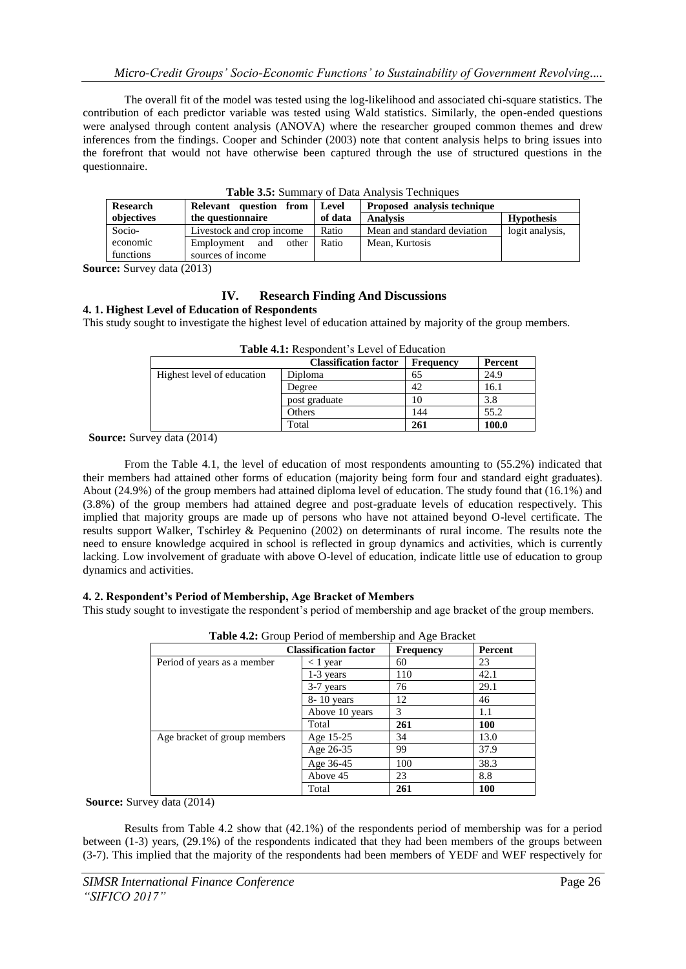The overall fit of the model was tested using the log-likelihood and associated chi-square statistics. The contribution of each predictor variable was tested using Wald statistics. Similarly, the open-ended questions were analysed through content analysis (ANOVA) where the researcher grouped common themes and drew inferences from the findings. Cooper and Schinder (2003) note that content analysis helps to bring issues into the forefront that would not have otherwise been captured through the use of structured questions in the questionnaire.

| <b>Research</b> | <b>Table 3.3.</b> Summally 01 Data Allafysis Techniques<br>Proposed analysis technique<br>Relevant question from<br>Level |         |                             |                   |  |
|-----------------|---------------------------------------------------------------------------------------------------------------------------|---------|-----------------------------|-------------------|--|
| objectives      | the questionnaire                                                                                                         | of data | <b>Analysis</b>             | <b>Hypothesis</b> |  |
| Socio-          | Livestock and crop income                                                                                                 | Ratio   | Mean and standard deviation | logit analysis,   |  |
| economic        | Employment and<br>other                                                                                                   | Ratio   | Mean, Kurtosis              |                   |  |
| functions       | sources of income                                                                                                         |         |                             |                   |  |

**Table 3.5:** Summary of Data Analysis Techniques

**Source:** Survey data (2013)

# **IV. Research Finding And Discussions**

#### **4. 1. Highest Level of Education of Respondents**

This study sought to investigate the highest level of education attained by majority of the group members.

| Tudie 411, Respondent s Eevel of Education |                              |           |         |
|--------------------------------------------|------------------------------|-----------|---------|
|                                            | <b>Classification factor</b> | Frequency | Percent |
| Highest level of education                 | Diploma                      | 65        | 24.9    |
|                                            | Degree                       | 42        | 16.1    |
|                                            | post graduate                |           | 3.8     |
|                                            | Others                       | 144       | 55.2    |
|                                            | Total                        | 261       | 100.0   |

**Table 4.1:** Respondent's Level of Education

**Source:** Survey data (2014)

From the Table 4.1, the level of education of most respondents amounting to (55.2%) indicated that their members had attained other forms of education (majority being form four and standard eight graduates). About (24.9%) of the group members had attained diploma level of education. The study found that (16.1%) and (3.8%) of the group members had attained degree and post-graduate levels of education respectively. This implied that majority groups are made up of persons who have not attained beyond O-level certificate. The results support Walker, Tschirley & Pequenino (2002) on determinants of rural income. The results note the need to ensure knowledge acquired in school is reflected in group dynamics and activities, which is currently lacking. Low involvement of graduate with above O-level of education, indicate little use of education to group dynamics and activities.

# **4. 2. Respondent's Period of Membership, Age Bracket of Members**

This study sought to investigate the respondent's period of membership and age bracket of the group members.

|                              | <b>Classification factor</b> | <b>Frequency</b> | Percent    |
|------------------------------|------------------------------|------------------|------------|
| Period of years as a member  | $<$ 1 year                   | 60               | 23         |
|                              | 1-3 years                    | 110              | 42.1       |
|                              | 3-7 years                    | 76               | 29.1       |
|                              | $8 - 10$ years               | 12               | 46         |
|                              | Above 10 years               | 3                | 1.1        |
|                              | Total                        | 261              | <b>100</b> |
| Age bracket of group members | Age 15-25                    | 34               | 13.0       |
|                              | Age 26-35                    | 99               | 37.9       |
|                              | Age 36-45                    | 100              | 38.3       |
|                              | Above 45                     | 23               | 8.8        |
|                              | Total                        | 261              | 100        |

| Table 4.2: Group Period of membership and Age Bracket |  |
|-------------------------------------------------------|--|
|                                                       |  |

**Source:** Survey data (2014)

Results from Table 4.2 show that (42.1%) of the respondents period of membership was for a period between (1-3) years, (29.1%) of the respondents indicated that they had been members of the groups between (3-7). This implied that the majority of the respondents had been members of YEDF and WEF respectively for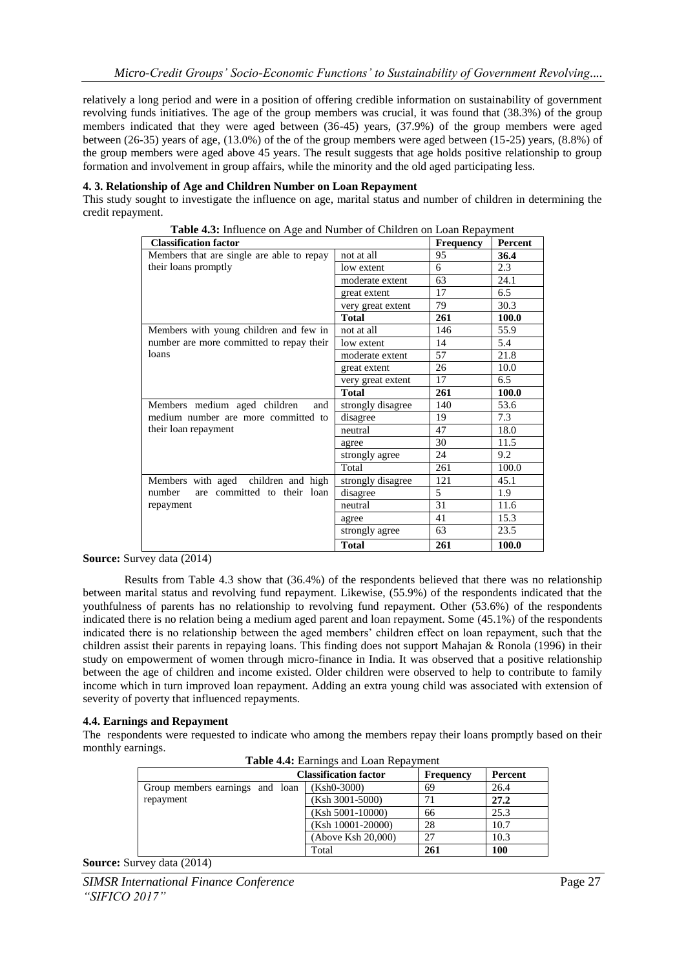relatively a long period and were in a position of offering credible information on sustainability of government revolving funds initiatives. The age of the group members was crucial, it was found that (38.3%) of the group members indicated that they were aged between (36-45) years, (37.9%) of the group members were aged between (26-35) years of age, (13.0%) of the of the group members were aged between (15-25) years, (8.8%) of the group members were aged above 45 years. The result suggests that age holds positive relationship to group formation and involvement in group affairs, while the minority and the old aged participating less.

#### **4. 3. Relationship of Age and Children Number on Loan Repayment**

This study sought to investigate the influence on age, marital status and number of children in determining the credit repayment.

| <b>Classification factor</b>              |                   | <b>Frequency</b> | <b>Percent</b> |
|-------------------------------------------|-------------------|------------------|----------------|
| Members that are single are able to repay | not at all        | 95               | 36.4           |
| their loans promptly                      | low extent        | 6                | 2.3            |
|                                           | moderate extent   | 63               | 24.1           |
|                                           | great extent      | 17               | 6.5            |
|                                           | very great extent | 79               | 30.3           |
|                                           | <b>Total</b>      | 261              | 100.0          |
| Members with young children and few in    | not at all        | 146              | 55.9           |
| number are more committed to repay their  | low extent        | 14               | 5.4            |
| loans                                     | moderate extent   | 57               | 21.8           |
|                                           | great extent      | 26               | 10.0           |
|                                           | very great extent | 17               | 6.5            |
|                                           | <b>Total</b>      | 261              | 100.0          |
| Members medium aged children<br>and       | strongly disagree | 140              | 53.6           |
| medium number are more committed to       | disagree          | 19               | 7.3            |
| their loan repayment                      | neutral           | 47               | 18.0           |
|                                           | agree             | 30               | 11.5           |
|                                           | strongly agree    | 24               | 9.2            |
|                                           | Total             | 261              | 100.0          |
| Members with aged children and high       | strongly disagree | 121              | 45.1           |
| are committed to their loan<br>number     | disagree          | 5                | 1.9            |
| repayment                                 | neutral           | 31               | 11.6           |
|                                           | agree             | 41               | 15.3           |
|                                           | strongly agree    | 63               | 23.5           |
|                                           | <b>Total</b>      | 261              | 100.0          |

**Table 4.3:** Influence on Age and Number of Children on Loan Repayment

**Source:** Survey data (2014)

Results from Table 4.3 show that (36.4%) of the respondents believed that there was no relationship between marital status and revolving fund repayment. Likewise, (55.9%) of the respondents indicated that the youthfulness of parents has no relationship to revolving fund repayment. Other (53.6%) of the respondents indicated there is no relation being a medium aged parent and loan repayment. Some (45.1%) of the respondents indicated there is no relationship between the aged members' children effect on loan repayment, such that the children assist their parents in repaying loans. This finding does not support Mahajan & Ronola (1996) in their study on empowerment of women through micro-finance in India. It was observed that a positive relationship between the age of children and income existed. Older children were observed to help to contribute to family income which in turn improved loan repayment. Adding an extra young child was associated with extension of severity of poverty that influenced repayments.

#### **4.4. Earnings and Repayment**

The respondents were requested to indicate who among the members repay their loans promptly based on their monthly earnings.

|                                 | <b>Classification factor</b> | <b>Frequency</b> | Percent |
|---------------------------------|------------------------------|------------------|---------|
| Group members earnings and loan | $(Ksh0-3000)$                | 69               | 26.4    |
| repayment                       | (Ksh 3001-5000)              | 71               | 27.2    |
|                                 | $(Ksh 5001-10000)$           | 66               | 25.3    |
|                                 | $(Ksh 10001-20000)$          | 28               | 10.7    |
|                                 | (Above Ksh 20,000)           | 27               | 10.3    |
|                                 | Total                        | 261              | 100     |

**Table 4.4:** Earnings and Loan Repayment

**Source:** Survey data (2014)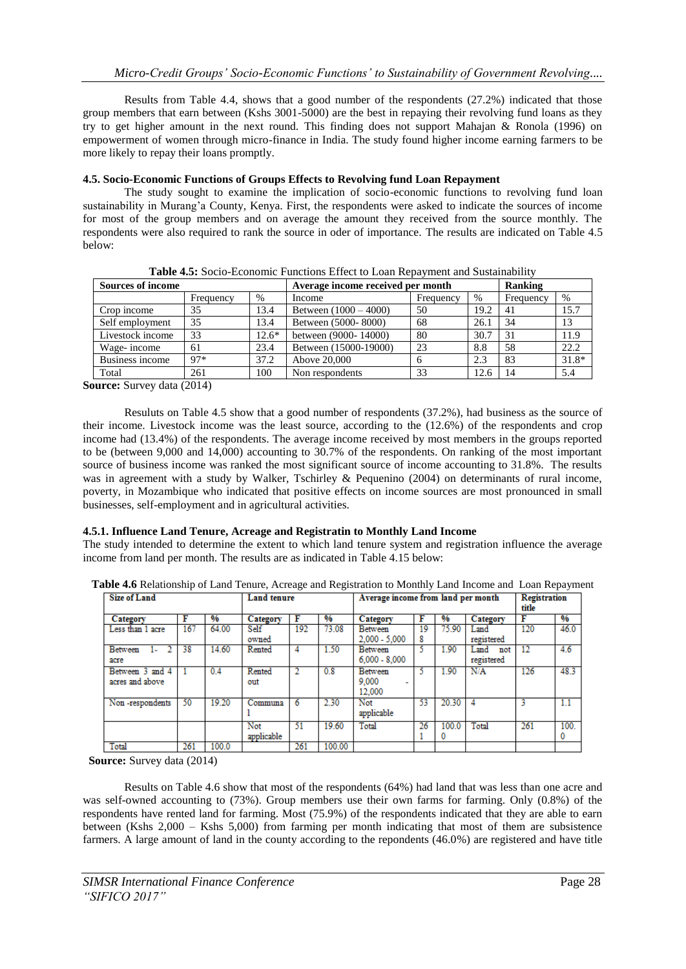Results from Table 4.4, shows that a good number of the respondents (27.2%) indicated that those group members that earn between (Kshs 3001-5000) are the best in repaying their revolving fund loans as they try to get higher amount in the next round. This finding does not support Mahajan & Ronola (1996) on empowerment of women through micro-finance in India. The study found higher income earning farmers to be more likely to repay their loans promptly.

# **4.5. Socio-Economic Functions of Groups Effects to Revolving fund Loan Repayment**

The study sought to examine the implication of socio-economic functions to revolving fund loan sustainability in Murang'a County, Kenya. First, the respondents were asked to indicate the sources of income for most of the group members and on average the amount they received from the source monthly. The respondents were also required to rank the source in oder of importance. The results are indicated on Table 4.5 below:

| <b>Sources of income</b> |           |         | Average income received per month | Ranking      |      |           |         |
|--------------------------|-----------|---------|-----------------------------------|--------------|------|-----------|---------|
|                          | Frequency | %       | Income                            | Frequency    | $\%$ | Frequency | $\%$    |
| Crop income              | 35        | 13.4    | Between $(1000 - 4000)$           | 50           | 19.2 | 41        | l 5.7   |
| Self employment          | 35        | 13.4    | Between (5000-8000)               | 68           | 26.1 | 34        | 13      |
| Livestock income         | 33        | $12.6*$ | between (9000-14000)              | 80           | 30.7 | 31        | 11.9    |
| Wage-income              | 61        | 23.4    | Between (15000-19000)             | 23           | 8.8  | 58        | 22.2    |
| Business income          | $97*$     | 37.2    | Above 20,000                      | <sub>0</sub> | 2.3  | 83        | $31.8*$ |
| Total                    | 261       | 100     | Non respondents                   | 33           | 12.6 | 14        | 5.4     |

**Table 4.5:** Socio-Economic Functions Effect to Loan Repayment and Sustainability

**Source:** Survey data (2014)

Resuluts on Table 4.5 show that a good number of respondents (37.2%), had business as the source of their income. Livestock income was the least source, according to the (12.6%) of the respondents and crop income had (13.4%) of the respondents. The average income received by most members in the groups reported to be (between 9,000 and 14,000) accounting to 30.7% of the respondents. On ranking of the most important source of business income was ranked the most significant source of income accounting to 31.8%. The results was in agreement with a study by Walker, Tschirley & Pequenino (2004) on determinants of rural income, poverty, in Mozambique who indicated that positive effects on income sources are most pronounced in small businesses, self-employment and in agricultural activities.

# **4.5.1. Influence Land Tenure, Acreage and Registratin to Monthly Land Income**

The study intended to determine the extent to which land tenure system and registration influence the average income from land per month. The results are as indicated in Table 4.15 below:

**Table 4.6** Relationship of Land Tenure, Acreage and Registration to Monthly Land Income and Loan Repayment

| <b>Size of Land</b>       |     |       |            | <b>Land tenure</b> |        |                 | Average income from land per month |               |             | Registration<br>title |      |
|---------------------------|-----|-------|------------|--------------------|--------|-----------------|------------------------------------|---------------|-------------|-----------------------|------|
| Category                  |     | %     | Category   | F                  | %      | Category        | F                                  | $\frac{9}{6}$ | Category    | F                     | %    |
| Less than 1 acre          | 167 | 64.00 | Self       | 192                | 73.08  | Between         | 19                                 | 75.90         | Land        | 120                   | 46.0 |
|                           |     |       | owned      |                    |        | $2.000 - 5.000$ | 8                                  |               | registered  |                       |      |
| 2<br><b>Between</b><br>1. | 38  | 14.60 | Rented     | 4                  | 1.50   | <b>Between</b>  |                                    | 1.90          | Land<br>not | 12                    | 4.6  |
| acre                      |     |       |            |                    |        | $6,000 - 8,000$ |                                    |               | registered  |                       |      |
| Between 3 and 4           |     | 0.4   | Rented     | 2                  | 0.8    | <b>Between</b>  |                                    | 1.90          | N/A         | 126                   | 48.3 |
| acres and above           |     |       | out        |                    |        | 9.000           |                                    |               |             |                       |      |
|                           |     |       |            |                    |        | 12.000          |                                    |               |             |                       |      |
| Non-respondents           | 50  | 19.20 | Communa    | 6                  | 2.30   | Not             | 53                                 | 20.30         |             | 3                     | 1.1  |
|                           |     |       |            |                    |        | applicable      |                                    |               |             |                       |      |
|                           |     |       | Not        | 51                 | 19.60  | Total           | 26                                 | 100.0         | Total       | 261                   | 100. |
|                           |     |       | applicable |                    |        |                 |                                    | 0             |             |                       | υ    |
| Total                     | 261 | 100.0 |            | 261                | 100.00 |                 |                                    |               |             |                       |      |

**Source:** Survey data (2014)

Results on Table 4.6 show that most of the respondents (64%) had land that was less than one acre and was self-owned accounting to (73%). Group members use their own farms for farming. Only (0.8%) of the respondents have rented land for farming. Most (75.9%) of the respondents indicated that they are able to earn between (Kshs 2,000 – Kshs 5,000) from farming per month indicating that most of them are subsistence farmers. A large amount of land in the county according to the repondents (46.0%) are registered and have title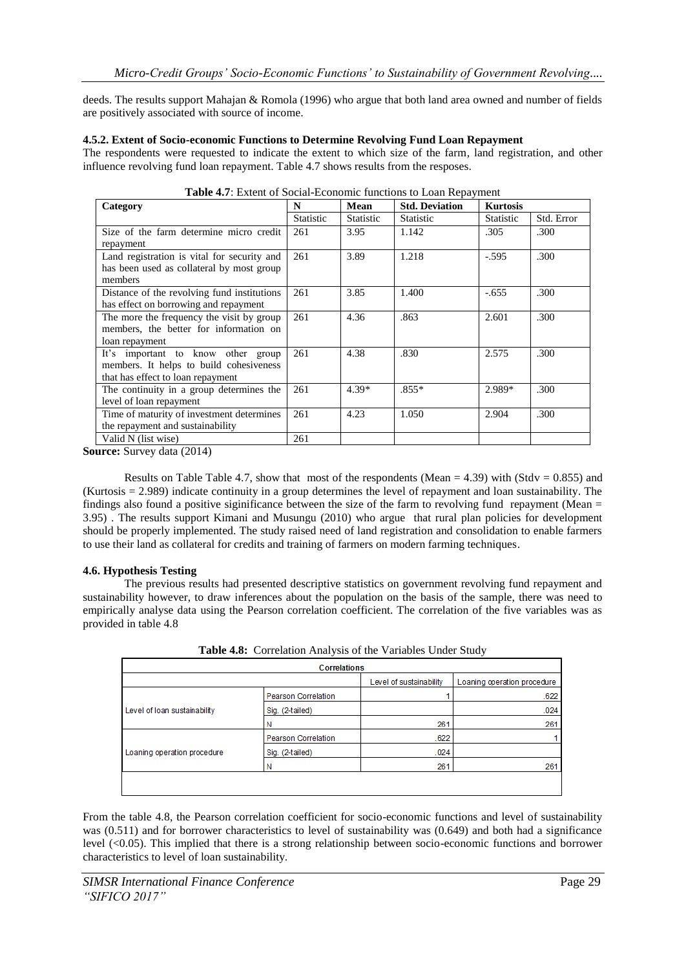deeds. The results support Mahajan & Romola (1996) who argue that both land area owned and number of fields are positively associated with source of income.

#### **4.5.2. Extent of Socio-economic Functions to Determine Revolving Fund Loan Repayment**

The respondents were requested to indicate the extent to which size of the farm, land registration, and other influence revolving fund loan repayment. Table 4.7 shows results from the resposes.

| Category                                    | N                | Mean             | <b>Std. Deviation</b> | <b>Kurtosis</b>  |            |
|---------------------------------------------|------------------|------------------|-----------------------|------------------|------------|
|                                             | <b>Statistic</b> | <b>Statistic</b> | <b>Statistic</b>      | <b>Statistic</b> | Std. Error |
| Size of the farm determine micro credit     | 261              | 3.95             | 1.142                 | .305             | .300       |
| repayment                                   |                  |                  |                       |                  |            |
| Land registration is vital for security and | 261              | 3.89             | 1.218                 | $-.595$          | .300       |
| has been used as collateral by most group   |                  |                  |                       |                  |            |
| members                                     |                  |                  |                       |                  |            |
| Distance of the revolving fund institutions | 261              | 3.85             | 1.400                 | $-.655$          | .300       |
| has effect on borrowing and repayment       |                  |                  |                       |                  |            |
| The more the frequency the visit by group   | 261              | 4.36             | .863                  | 2.601            | .300       |
| members, the better for information on      |                  |                  |                       |                  |            |
| loan repayment                              |                  |                  |                       |                  |            |
| It's important to know other group          | 261              | 4.38             | .830                  | 2.575            | .300       |
| members. It helps to build cohesiveness     |                  |                  |                       |                  |            |
| that has effect to loan repayment           |                  |                  |                       |                  |            |
| The continuity in a group determines the    | 261              | $4.39*$          | $.855*$               | 2.989*           | .300       |
| level of loan repayment                     |                  |                  |                       |                  |            |
| Time of maturity of investment determines   | 261              | 4.23             | 1.050                 | 2.904            | .300       |
| the repayment and sustainability            |                  |                  |                       |                  |            |
| Valid N (list wise)                         | 261              |                  |                       |                  |            |

| Table 4.7: Extent of Social-Economic functions to Loan Repayment |  |  |
|------------------------------------------------------------------|--|--|
|                                                                  |  |  |

**Source:** Survey data (2014)

Results on Table Table 4.7, show that most of the respondents (Mean  $= 4.39$ ) with (Stdv = 0.855) and (Kurtosis = 2.989) indicate continuity in a group determines the level of repayment and loan sustainability. The findings also found a positive siginificance between the size of the farm to revolving fund repayment (Mean = 3.95) . The results support Kimani and Musungu (2010) who argue that rural plan policies for development should be properly implemented. The study raised need of land registration and consolidation to enable farmers to use their land as collateral for credits and training of farmers on modern farming techniques.

# **4.6. Hypothesis Testing**

The previous results had presented descriptive statistics on government revolving fund repayment and sustainability however, to draw inferences about the population on the basis of the sample, there was need to empirically analyse data using the Pearson correlation coefficient. The correlation of the five variables was as provided in table 4.8

| <b>Correlations</b>          |                            |                         |                             |  |  |  |  |  |
|------------------------------|----------------------------|-------------------------|-----------------------------|--|--|--|--|--|
|                              |                            | Level of sustainability | Loaning operation procedure |  |  |  |  |  |
|                              | <b>Pearson Correlation</b> |                         | .622                        |  |  |  |  |  |
| Level of loan sustainability | Sig. (2-tailed)            |                         | .024                        |  |  |  |  |  |
|                              | Ν                          | 261                     | 261                         |  |  |  |  |  |
|                              | <b>Pearson Correlation</b> | .622                    |                             |  |  |  |  |  |
| Loaning operation procedure  | Sig. (2-tailed)            | .024                    |                             |  |  |  |  |  |
|                              | Ν                          | 261                     | 261                         |  |  |  |  |  |
|                              |                            |                         |                             |  |  |  |  |  |
|                              |                            |                         |                             |  |  |  |  |  |

**Table 4.8:** Correlation Analysis of the Variables Under Study

From the table 4.8, the Pearson correlation coefficient for socio-economic functions and level of sustainability was (0.511) and for borrower characteristics to level of sustainability was (0.649) and both had a significance level (<0.05). This implied that there is a strong relationship between socio-economic functions and borrower characteristics to level of loan sustainability.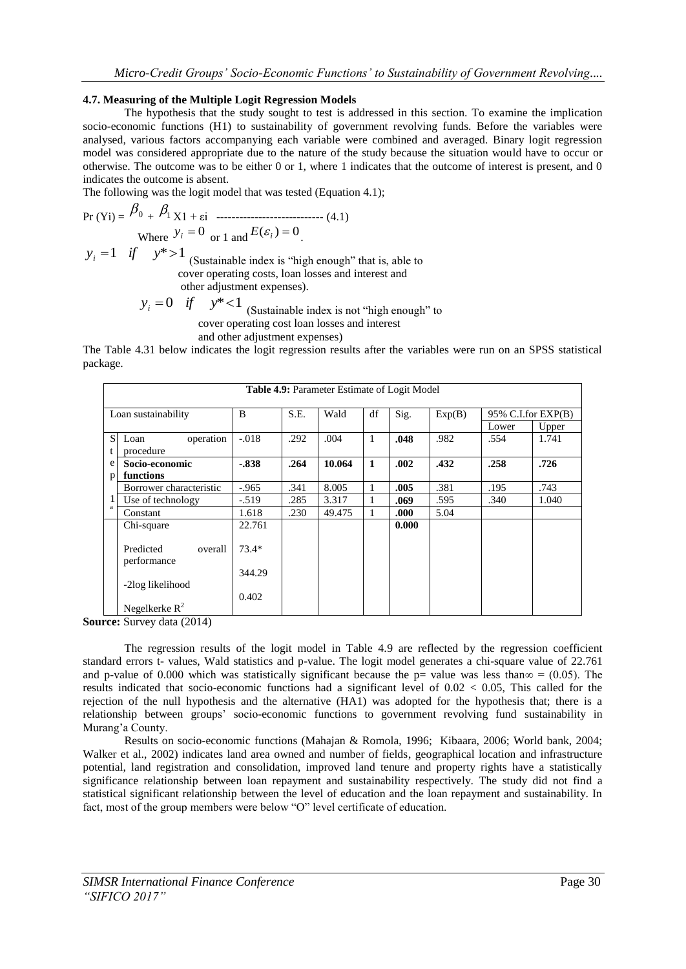#### **4.7. Measuring of the Multiple Logit Regression Models**

The hypothesis that the study sought to test is addressed in this section. To examine the implication socio-economic functions (H1) to sustainability of government revolving funds. Before the variables were analysed, various factors accompanying each variable were combined and averaged. Binary logit regression model was considered appropriate due to the nature of the study because the situation would have to occur or otherwise. The outcome was to be either 0 or 1, where 1 indicates that the outcome of interest is present, and 0 indicates the outcome is absent.

The following was the logit model that was tested (Equation 4.1);

$$
Pr(Yi) = \frac{\beta_0 + \beta_1 X1 + \varepsilon i \quad \dots}{\text{Where } y_i = 0 \quad \text{or } 1 \text{ and } E(\varepsilon_i) = 0} \tag{4.1}
$$

 $y_i = 1$  *if*  $y^* > 1$  (Sustainable index is "high enough" that is, able to cover operating costs, loan losses and interest and other adjustment expenses).

 $y_i = 0$  *if*  $y^* < 1$  (Sustainable index is not "high enough" to cover operating cost loan losses and interest and other adjustment expenses)

The Table 4.31 below indicates the logit regression results after the variables were run on an SPSS statistical package.

|              | <b>Table 4.9: Parameter Estimate of Logit Model</b> |         |      |        |              |       |        |                    |       |
|--------------|-----------------------------------------------------|---------|------|--------|--------------|-------|--------|--------------------|-------|
|              | Loan sustainability                                 | B       | S.E. | Wald   | df           | Sig.  | Exp(B) | 95% C.I.for EXP(B) |       |
|              |                                                     |         |      |        |              |       |        | Lower              | Upper |
| <sub>S</sub> | operation<br>Loan                                   | $-.018$ | .292 | .004   | 1            | .048  | .982   | .554               | 1.741 |
| t            | procedure                                           |         |      |        |              |       |        |                    |       |
| e            | Socio-economic                                      | $-.838$ | .264 | 10.064 | $\mathbf{1}$ | .002  | .432   | .258               | .726  |
| p            | functions                                           |         |      |        |              |       |        |                    |       |
|              | Borrower characteristic                             | $-.965$ | .341 | 8.005  | 1            | .005  | .381   | .195               | .743  |
|              | Use of technology                                   | $-.519$ | .285 | 3.317  | 1            | .069  | .595   | .340               | 1.040 |
| a            | Constant                                            | 1.618   | .230 | 49.475 | 1            | .000  | 5.04   |                    |       |
|              | Chi-square                                          | 22.761  |      |        |              | 0.000 |        |                    |       |
|              | Predicted<br>overall<br>performance                 | $73.4*$ |      |        |              |       |        |                    |       |
|              |                                                     | 344.29  |      |        |              |       |        |                    |       |
|              | -2log likelihood                                    |         |      |        |              |       |        |                    |       |
|              |                                                     | 0.402   |      |        |              |       |        |                    |       |
|              | Negelkerke $R^2$                                    |         |      |        |              |       |        |                    |       |

**Source:** Survey data (2014)

The regression results of the logit model in Table 4.9 are reflected by the regression coefficient standard errors t- values, Wald statistics and p-value. The logit model generates a chi-square value of 22.761 and p-value of 0.000 which was statistically significant because the p= value was less than $\infty = (0.05)$ . The results indicated that socio-economic functions had a significant level of  $0.02 < 0.05$ . This called for the rejection of the null hypothesis and the alternative (HA1) was adopted for the hypothesis that; there is a relationship between groups' socio-economic functions to government revolving fund sustainability in Murang'a County.

Results on socio-economic functions (Mahajan & Romola, 1996; Kibaara, 2006; World bank, 2004; Walker et al., 2002) indicates land area owned and number of fields, geographical location and infrastructure potential, land registration and consolidation, improved land tenure and property rights have a statistically significance relationship between loan repayment and sustainability respectively. The study did not find a statistical significant relationship between the level of education and the loan repayment and sustainability. In fact, most of the group members were below "O" level certificate of education.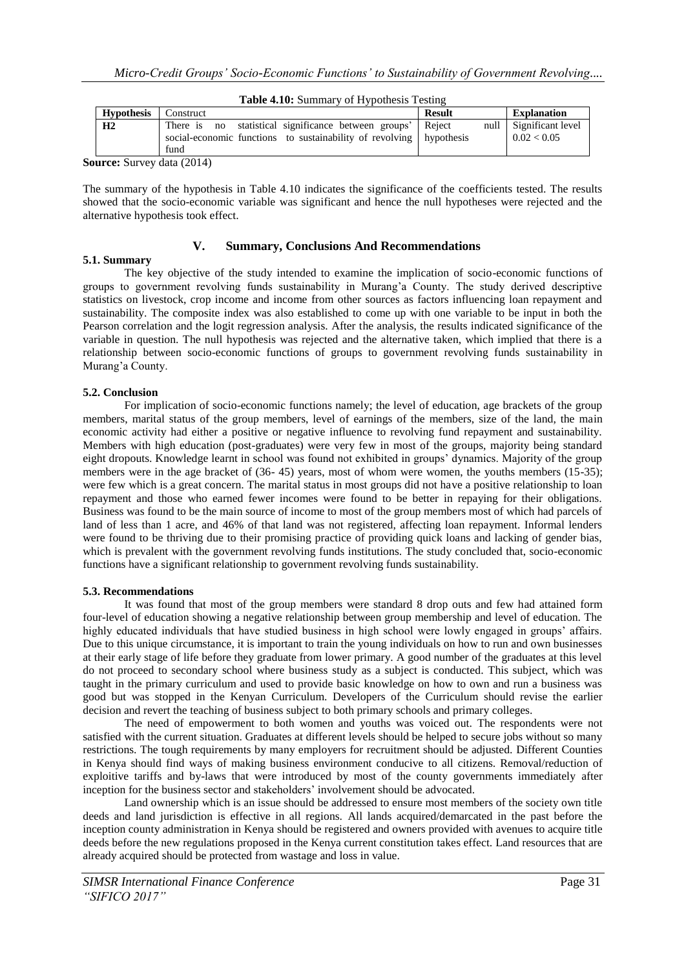| <b>Table 4.10:</b> Summary of Hypothesis Testing |                                                                                                                                            |               |                                       |  |  |  |  |
|--------------------------------------------------|--------------------------------------------------------------------------------------------------------------------------------------------|---------------|---------------------------------------|--|--|--|--|
| <b>Hypothesis</b>                                | Construct                                                                                                                                  | <b>Result</b> | <b>Explanation</b>                    |  |  |  |  |
| H <sub>2</sub>                                   | There is no statistical significance between groups' Reject<br>social-economic functions to sustainability of revolving hypothesis<br>fund |               | null Significant level<br>0.02 < 0.05 |  |  |  |  |
| $\sim$                                           | $\sim$ $\sim$ $\sim$ $\sim$ $\sim$                                                                                                         |               |                                       |  |  |  |  |

**Table 4.10:** Summary of Hypothesis Testing

**Source:** Survey data (2014)

The summary of the hypothesis in Table 4.10 indicates the significance of the coefficients tested. The results showed that the socio-economic variable was significant and hence the null hypotheses were rejected and the alternative hypothesis took effect.

# **5.1. Summary**

# **V. Summary, Conclusions And Recommendations**

The key objective of the study intended to examine the implication of socio-economic functions of groups to government revolving funds sustainability in Murang'a County. The study derived descriptive statistics on livestock, crop income and income from other sources as factors influencing loan repayment and sustainability. The composite index was also established to come up with one variable to be input in both the Pearson correlation and the logit regression analysis. After the analysis, the results indicated significance of the variable in question. The null hypothesis was rejected and the alternative taken, which implied that there is a relationship between socio-economic functions of groups to government revolving funds sustainability in Murang'a County.

#### **5.2. Conclusion**

For implication of socio-economic functions namely; the level of education, age brackets of the group members, marital status of the group members, level of earnings of the members, size of the land, the main economic activity had either a positive or negative influence to revolving fund repayment and sustainability. Members with high education (post-graduates) were very few in most of the groups, majority being standard eight dropouts. Knowledge learnt in school was found not exhibited in groups' dynamics. Majority of the group members were in the age bracket of (36- 45) years, most of whom were women, the youths members (15-35); were few which is a great concern. The marital status in most groups did not have a positive relationship to loan repayment and those who earned fewer incomes were found to be better in repaying for their obligations. Business was found to be the main source of income to most of the group members most of which had parcels of land of less than 1 acre, and 46% of that land was not registered, affecting loan repayment. Informal lenders were found to be thriving due to their promising practice of providing quick loans and lacking of gender bias, which is prevalent with the government revolving funds institutions. The study concluded that, socio-economic functions have a significant relationship to government revolving funds sustainability.

#### **5.3. Recommendations**

It was found that most of the group members were standard 8 drop outs and few had attained form four-level of education showing a negative relationship between group membership and level of education. The highly educated individuals that have studied business in high school were lowly engaged in groups' affairs. Due to this unique circumstance, it is important to train the young individuals on how to run and own businesses at their early stage of life before they graduate from lower primary. A good number of the graduates at this level do not proceed to secondary school where business study as a subject is conducted. This subject, which was taught in the primary curriculum and used to provide basic knowledge on how to own and run a business was good but was stopped in the Kenyan Curriculum. Developers of the Curriculum should revise the earlier decision and revert the teaching of business subject to both primary schools and primary colleges.

The need of empowerment to both women and youths was voiced out. The respondents were not satisfied with the current situation. Graduates at different levels should be helped to secure jobs without so many restrictions. The tough requirements by many employers for recruitment should be adjusted. Different Counties in Kenya should find ways of making business environment conducive to all citizens. Removal/reduction of exploitive tariffs and by-laws that were introduced by most of the county governments immediately after inception for the business sector and stakeholders' involvement should be advocated.

Land ownership which is an issue should be addressed to ensure most members of the society own title deeds and land jurisdiction is effective in all regions. All lands acquired/demarcated in the past before the inception county administration in Kenya should be registered and owners provided with avenues to acquire title deeds before the new regulations proposed in the Kenya current constitution takes effect. Land resources that are already acquired should be protected from wastage and loss in value.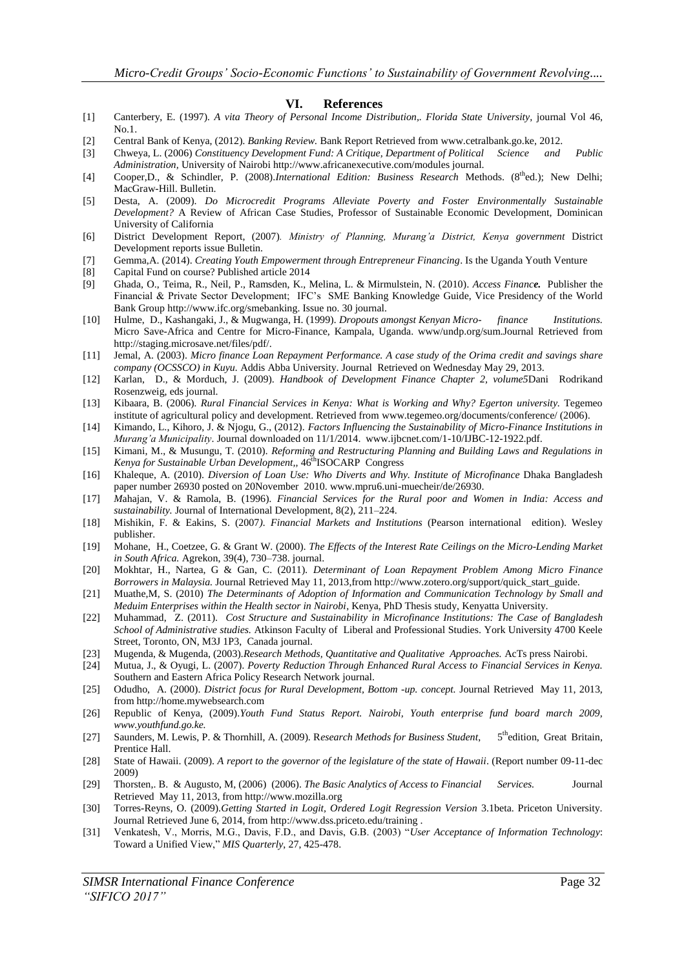#### **VI. References**

- [1] Canterbery, E. (1997)*. A vita Theory of Personal Income Distribution,. Florida State University,* journal Vol 46, No.1.
- [2] Central Bank of Kenya, (2012)*. Banking Review.* Bank Report Retrieved from www.cetralbank.go.ke, 2012.
- [3] Chweya, L. (2006) *Constituency Development Fund: A Critique, Department of Political Science and Public Administration,* University of Nairobi http://www.africanexecutive.com/modules journal.
- [4] Cooper, D., & Schindler, P. (2008).*International Edition: Business Research Methods.* (8<sup>th</sup>ed.); New Delhi; MacGraw-Hill. Bulletin.
- [5] Desta, A. (2009). *Do Microcredit Programs Alleviate Poverty and Foster Environmentally Sustainable Development?* A Review of African Case Studies, Professor of Sustainable Economic Development, Dominican University of California
- [6] District Development Report, (2007)*. Ministry of Planning, Murang'a District, Kenya government* District Development reports issue Bulletin.
- [7] Gemma,A. (2014). *Creating Youth Empowerment through Entrepreneur Financing*. Is the Uganda Youth Venture
- [8] Capital Fund on course? Published article 2014
- [9] Ghada, O., Teima, R., Neil, P., Ramsden, K., Melina, L. & Mirmulstein, N. (2010)*. Access Finance.* Publisher the Financial & Private Sector Development; IFC's SME Banking Knowledge Guide, Vice Presidency of the World Bank Group http://www.ifc.org/smebanking. Issue no. 30 journal.
- [10] Hulme, D., Kashangaki, J., & Mugwanga, H. (1999)*. Dropouts amongst Kenyan Micro- finance Institutions.*  Micro Save-Africa and Centre for Micro-Finance, Kampala, Uganda. www/undp.org/sum.Journal Retrieved from http://staging.microsave.net/files/pdf/.
- [11] Jemal, A. (2003). *Micro finance Loan Repayment Performance. A case study of the Orima credit and savings share company (OCSSCO) in Kuyu.* Addis Abba University. Journal Retrieved on Wednesday May 29, 2013.
- [12] Karlan, D., & Morduch, J. (2009). *Handbook of Development Finance Chapter 2, volume5*Dani Rodrikand Rosenzweig, eds journal.
- [13] Kibaara, B. (2006)*. Rural Financial Services in Kenya: What is Working and Why? Egerton university.* Tegemeo institute of agricultural policy and development. Retrieved from www.tegemeo.org/documents/conference/ (2006).
- [14] Kimando, L., Kihoro, J. & Njogu, G., (2012). *Factors Influencing the Sustainability of Micro-Finance Institutions in Murang'a Municipality*. Journal downloaded on 11/1/2014. www.ijbcnet.com/1-10/IJBC-12-1922.pdf.
- [15] Kimani, M., & Musungu, T. (2010)*. Reforming and Restructuring Planning and Building Laws and Regulations in Kenya for Sustainable Urban Development,,* 46thISOCARP Congress
- [16] Khaleque, A. (2010). *Diversion of Loan Use: Who Diverts and Why. Institute of Microfinance* Dhaka Bangladesh paper number 26930 posted on 20November 2010. www.mpru6.uni-muecheir/de/26930.
- [17] *M*ahajan, V. & Ramola, B. (1996)*. Financial Services for the Rural poor and Women in India: Access and sustainability.* Journal of International Development, 8(2), 211–224.
- [18] Mishikin, F. & Eakins, S. (2007*). Financial Markets and Institutions* (Pearson international edition). Wesley publisher.
- [19] Mohane, H., Coetzee, G. & Grant W. (2000)*. The Effects of the Interest Rate Ceilings on the Micro-Lending Market in South Africa.* Agrekon, 39(4), 730–738. journal.
- [20] Mokhtar, H., Nartea, G & Gan, C. (2011)*. Determinant of Loan Repayment Problem Among Micro Finance Borrowers in Malaysia.* Journal Retrieved May 11, 2013,from http://www.zotero.org/support/quick\_start\_guide.
- [21] Muathe,M, S. (2010) *The Determinants of Adoption of Information and Communication Technology by Small and Meduim Enterprises within the Health sector in Nairobi*, Kenya, PhD Thesis study, Kenyatta University.
- [22] Muhammad, Z. (2011). *Cost Structure and Sustainability in Microfinance Institutions: The Case of Bangladesh School of Administrative studies.* Atkinson Faculty of Liberal and Professional Studies. York University 4700 Keele Street, Toronto, ON, M3J 1P3, Canada journal.
- [23] Mugenda, & Mugenda, (2003)*.Research Methods, Quantitative and Qualitative Approaches.* AcTs press Nairobi.
- [24] Mutua, J., & Oyugi, L. (2007)*. Poverty Reduction Through Enhanced Rural Access to Financial Services in Kenya.* Southern and Eastern Africa Policy Research Network journal.
- [25] Odudho, A. (2000). *District focus for Rural Development, Bottom -up. concept.* Journal Retrieved May 11, 2013, from http://home.mywebsearch.com
- [26] Republic of Kenya, (2009).*Youth Fund Status Report. Nairobi, Youth enterprise fund board march 2009, www.youthfund.go.ke.*
- [27] Saunders, M. Lewis, P. & Thornhill, A. (2009). R*esearch Methods for Business Student*, 5 5<sup>th</sup>edition, Great Britain, Prentice Hall.
- [28] State of Hawaii. (2009). *A report to the governor of the legislature of the state of Hawaii*. (Report number 09-11-dec 2009)
- [29] Thorsten,. B. & Augusto, M, (2006) (2006). *The Basic Analytics of Access to Financial Services.* Journal Retrieved May 11, 2013, from http://www.mozilla.org
- [30] Torres-Reyns, O. (2009).*Getting Started in Logit, Ordered Logit Regression Version* 3.1beta. Priceton University. Journal Retrieved June 6, 2014, from http://www.dss.priceto.edu/training .
- [31] Venkatesh, V., Morris, M.G., Davis, F.D., and Davis, G.B. (2003) "*User Acceptance of Information Technology*: Toward a Unified View," *MIS Quarterly*, 27, 425-478.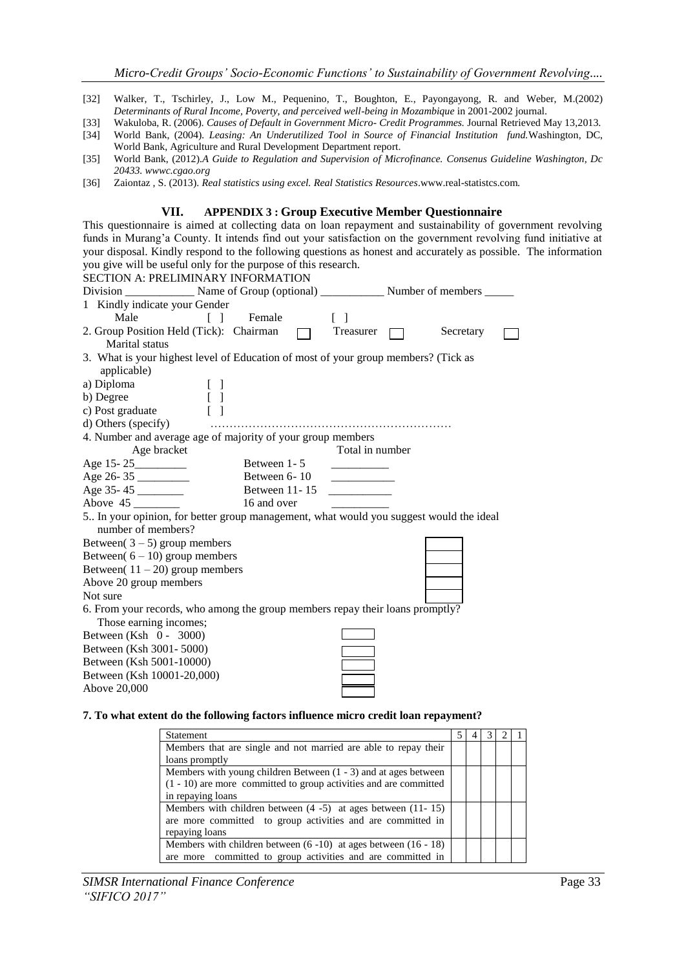- [32] Walker, T., Tschirley, J., Low M., Pequenino, T., Boughton, E., Payongayong, R. and Weber, M.(2002) Determinants of Rural Income, Poverty, and perceived well-being in Mozambique in 2001-2002 journal.
- [33] Wakuloba, R. (2006)*. Causes of Default in Government Micro- Credit Programmes.* Journal Retrieved May 13,2013.
- [34] World Bank, (2004)*. Leasing: An Underutilized Tool in Source of Financial Institution fund.*Washington, DC, World Bank, Agriculture and Rural Development Department report.
- [35] World Bank, (2012)*.A Guide to Regulation and Supervision of Microfinance. Consenus Guideline Washington, Dc 20433. wwwc.cgao.org*
- [36] Zaiontaz , S. (2013). *Real statistics using excel. Real Statistics Resources*.www.real-statistcs.com*.*

#### **VII. APPENDIX 3 : Group Executive Member Questionnaire**

This questionnaire is aimed at collecting data on loan repayment and sustainability of government revolving funds in Murang'a County. It intends find out your satisfaction on the government revolving fund initiative at your disposal. Kindly respond to the following questions as honest and accurately as possible. The information you give will be useful only for the purpose of this research. SECTION A: PRELIMINARY INFORMATION

| SECTION A. I REEIMINART INI ORMATION                                                                         |                                   |               |                                            |        |           |  |
|--------------------------------------------------------------------------------------------------------------|-----------------------------------|---------------|--------------------------------------------|--------|-----------|--|
|                                                                                                              |                                   |               |                                            |        |           |  |
| 1 Kindly indicate your Gender                                                                                |                                   |               |                                            |        |           |  |
|                                                                                                              | Male [] Female                    |               | $\Box$                                     |        |           |  |
| 2. Group Position Held (Tick): Chairman  Treasurer<br>Marital status                                         |                                   |               |                                            | $\Box$ | Secretary |  |
| 3. What is your highest level of Education of most of your group members? (Tick as<br>applicable)            |                                   |               |                                            |        |           |  |
| a) Diploma                                                                                                   | $[\ ]$                            |               |                                            |        |           |  |
| b) Degree                                                                                                    | $\begin{bmatrix} 1 \end{bmatrix}$ |               |                                            |        |           |  |
| c) Post graduate                                                                                             |                                   |               |                                            |        |           |  |
|                                                                                                              |                                   |               |                                            |        |           |  |
| 4. Number and average age of majority of your group members                                                  |                                   |               |                                            |        |           |  |
| Age bracket                                                                                                  |                                   |               | Total in number                            |        |           |  |
| Age 15-25                                                                                                    |                                   | Between 1 - 5 |                                            |        |           |  |
| Age 26-35                                                                                                    |                                   | Between 6-10  | <b>Contract Contract Contract Contract</b> |        |           |  |
| Age 35-45                                                                                                    |                                   | Between 11-15 |                                            |        |           |  |
| Above 45                                                                                                     |                                   | 16 and over   |                                            |        |           |  |
| 5 In your opinion, for better group management, what would you suggest would the ideal<br>number of members? |                                   |               |                                            |        |           |  |
| Between $(3-5)$ group members                                                                                |                                   |               |                                            |        |           |  |
| Between( $6 - 10$ ) group members                                                                            |                                   |               |                                            |        |           |  |
| Between( $11 - 20$ ) group members                                                                           |                                   |               |                                            |        |           |  |
| Above 20 group members                                                                                       |                                   |               |                                            |        |           |  |
| Not sure                                                                                                     |                                   |               |                                            |        |           |  |
| 6. From your records, who among the group members repay their loans promptly?                                |                                   |               |                                            |        |           |  |
| Those earning incomes;                                                                                       |                                   |               |                                            |        |           |  |
| Between (Ksh 0 - 3000)                                                                                       |                                   |               |                                            |        |           |  |
| Between (Ksh 3001-5000)                                                                                      |                                   |               |                                            |        |           |  |
| Between (Ksh 5001-10000)                                                                                     |                                   |               |                                            |        |           |  |
| Between (Ksh 10001-20,000)                                                                                   |                                   |               |                                            |        |           |  |
| Above 20,000                                                                                                 |                                   |               |                                            |        |           |  |
|                                                                                                              |                                   |               |                                            |        |           |  |

#### **7. To what extent do the following factors influence micro credit loan repayment?**

| <b>Statement</b>                                                     |  |  |  |
|----------------------------------------------------------------------|--|--|--|
| Members that are single and not married are able to repay their      |  |  |  |
| loans promptly                                                       |  |  |  |
| Members with young children Between $(1 - 3)$ and at ages between    |  |  |  |
| $(1 - 10)$ are more committed to group activities and are committed  |  |  |  |
| in repaying loans                                                    |  |  |  |
| Members with children between $(4 - 5)$ at ages between $(11 - 15)$  |  |  |  |
| are more committed to group activities and are committed in          |  |  |  |
| repaying loans                                                       |  |  |  |
| Members with children between $(6 - 10)$ at ages between $(16 - 18)$ |  |  |  |
| are more committed to group activities and are committed in          |  |  |  |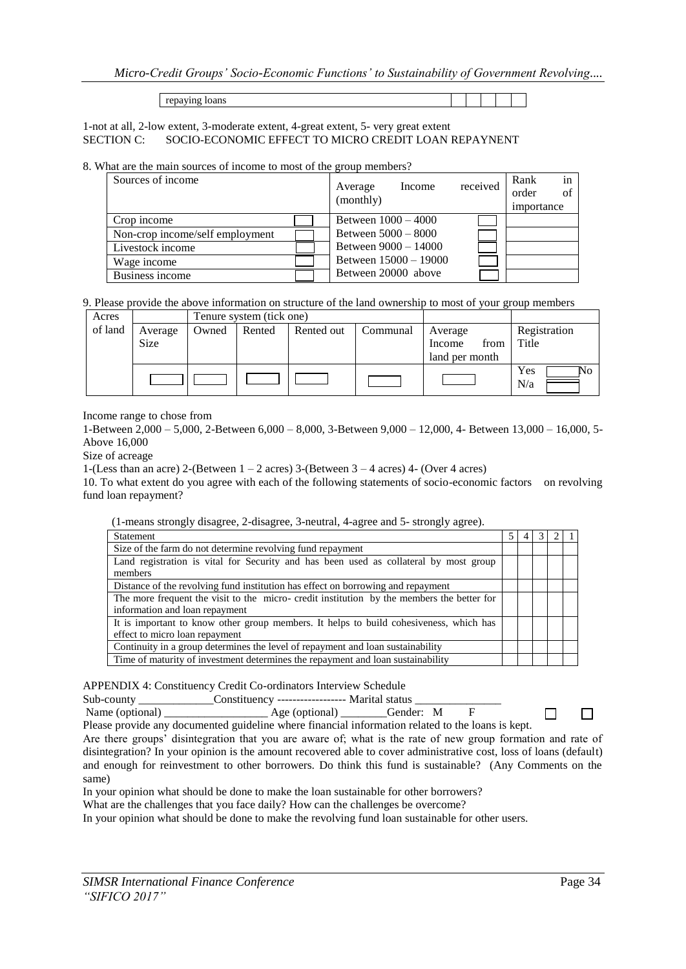*Micro-Credit Groups' Socio-Economic Functions' to Sustainability of Government Revolving....*

repaying loans

1-not at all, 2-low extent, 3-moderate extent, 4-great extent, 5- very great extent SECTION C: SOCIO-ECONOMIC EFFECT TO MICRO CREDIT LOAN REPAYNENT

8. What are the main sources of income to most of the group members?

| Sources of income               | Income<br>Average<br>(monthly) | received | in<br>Rank<br>order<br>of<br>importance |
|---------------------------------|--------------------------------|----------|-----------------------------------------|
| Crop income                     | Between $1000 - 4000$          |          |                                         |
| Non-crop income/self employment | Between 5000 – 8000            |          |                                         |
| Livestock income                | Between 9000 - 14000           |          |                                         |
| Wage income                     | Between $15000 - 19000$        |          |                                         |
| Business income                 | Between 20000 above            |          |                                         |

9. Please provide the above information on structure of the land ownership to most of your group members

| Acres   |         |       | Tenure system (tick one) |            |          |                |                  |
|---------|---------|-------|--------------------------|------------|----------|----------------|------------------|
| of land | Average | Owned | Rented                   | Rented out | Communal | Average        | Registration     |
|         | Size    |       |                          |            |          | from<br>Income | Title            |
|         |         |       |                          |            |          | land per month |                  |
|         |         |       |                          |            |          |                | Yes<br>NΟ<br>N/a |

Income range to chose from

1-Between 2,000 – 5,000, 2-Between 6,000 – 8,000, 3-Between 9,000 – 12,000, 4- Between 13,000 – 16,000, 5- Above 16,000

Size of acreage

1-(Less than an acre) 2-(Between  $1 - 2$  acres) 3-(Between  $3 - 4$  acres) 4- (Over 4 acres)

10. To what extent do you agree with each of the following statements of socio-economic factors on revolving fund loan repayment?

(1-means strongly disagree, 2-disagree, 3-neutral, 4-agree and 5- strongly agree).

| Statement                                                                                 |  |  |  |
|-------------------------------------------------------------------------------------------|--|--|--|
| Size of the farm do not determine revolving fund repayment                                |  |  |  |
| Land registration is vital for Security and has been used as collateral by most group     |  |  |  |
| members                                                                                   |  |  |  |
| Distance of the revolving fund institution has effect on borrowing and repayment          |  |  |  |
| The more frequent the visit to the micro-credit institution by the members the better for |  |  |  |
| information and loan repayment                                                            |  |  |  |
| It is important to know other group members. It helps to build cohesiveness, which has    |  |  |  |
| effect to micro loan repayment                                                            |  |  |  |
| Continuity in a group determines the level of repayment and loan sustainability           |  |  |  |
| Time of maturity of investment determines the repayment and loan sustainability           |  |  |  |

APPENDIX 4: Constituency Credit Co-ordinators Interview Schedule

Sub-county \_\_\_\_\_\_\_\_\_\_\_\_\_Constituency ------------------- Marital status \_\_\_\_\_\_\_\_\_<br>Name (optional) <br>Age (optional) Gender: M

Name (optional) \_\_\_\_\_\_\_\_\_\_\_\_\_\_\_\_\_\_\_\_\_\_\_\_\_\_ Age (optional) \_\_\_\_\_\_\_\_Gender: M Please provide any documented guideline where financial information related to the loans is kept.

Are there groups' disintegration that you are aware of; what is the rate of new group formation and rate of disintegration? In your opinion is the amount recovered able to cover administrative cost, loss of loans (default) and enough for reinvestment to other borrowers. Do think this fund is sustainable? (Any Comments on the same)

In your opinion what should be done to make the loan sustainable for other borrowers?

What are the challenges that you face daily? How can the challenges be overcome?

In your opinion what should be done to make the revolving fund loan sustainable for other users.

 $\Box$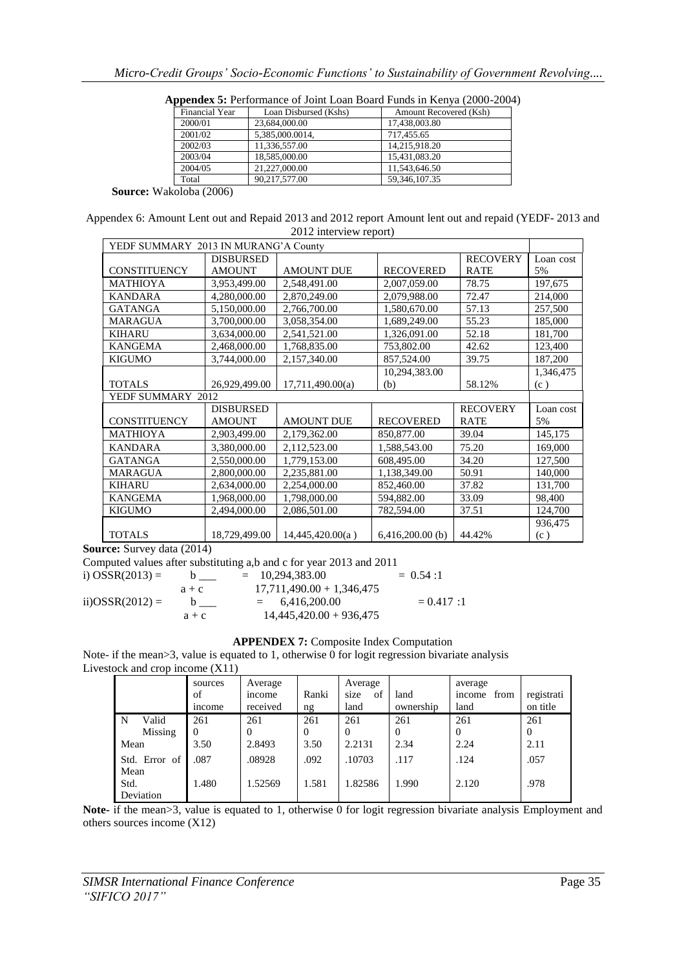| Financial Year | Loan Disbursed (Kshs) | Amount Recovered (Ksh) |
|----------------|-----------------------|------------------------|
| 2000/01        | 23,684,000.00         | 17,438,003.80          |
| 2001/02        | 5,385,000.0014,       | 717.455.65             |
| 2002/03        | 11,336,557.00         | 14.215.918.20          |
| 2003/04        | 18,585,000.00         | 15,431,083.20          |
| 2004/05        | 21.227.000.00         | 11.543.646.50          |
| Total          | 90.217.577.00         | 59.346.107.35          |

**Appendex 5:** Performance of Joint Loan Board Funds in Kenya (2000-2004)

 **Source:** Wakoloba (2006)

Appendex 6: Amount Lent out and Repaid 2013 and 2012 report Amount lent out and repaid (YEDF- 2013 and 2012 interview report)

| YEDF SUMMARY 2013 IN MURANG'A County |                  |                   |                    |                 |           |  |  |  |
|--------------------------------------|------------------|-------------------|--------------------|-----------------|-----------|--|--|--|
|                                      | <b>DISBURSED</b> |                   |                    | <b>RECOVERY</b> | Loan cost |  |  |  |
| <b>CONSTITUENCY</b>                  | <b>AMOUNT</b>    | <b>AMOUNT DUE</b> | <b>RECOVERED</b>   | <b>RATE</b>     | 5%        |  |  |  |
| <b>MATHIOYA</b>                      | 3,953,499.00     | 2,548,491.00      | 2,007,059.00       | 78.75           | 197,675   |  |  |  |
| <b>KANDARA</b>                       | 4,280,000.00     | 2,870,249.00      | 2,079,988.00       | 72.47           | 214,000   |  |  |  |
| <b>GATANGA</b>                       | 5,150,000.00     | 2,766,700.00      | 1,580,670.00       | 57.13           | 257,500   |  |  |  |
| <b>MARAGUA</b>                       | 3,700,000.00     | 3,058,354.00      | 1,689,249.00       | 55.23           | 185,000   |  |  |  |
| <b>KIHARU</b>                        | 3,634,000.00     | 2,541,521.00      | 1,326,091.00       | 52.18           | 181,700   |  |  |  |
| <b>KANGEMA</b>                       | 2,468,000.00     | 1,768,835.00      | 753,802.00         | 42.62           | 123,400   |  |  |  |
| <b>KIGUMO</b>                        | 3,744,000.00     | 2,157,340.00      | 857,524.00         | 39.75           | 187,200   |  |  |  |
|                                      |                  |                   | 10,294,383.00      |                 | 1,346,475 |  |  |  |
| <b>TOTALS</b>                        | 26,929,499.00    | 17,711,490.00(a)  | (b)                | 58.12%          | (c)       |  |  |  |
| YEDF SUMMARY 2012                    |                  |                   |                    |                 |           |  |  |  |
|                                      | <b>DISBURSED</b> |                   |                    | <b>RECOVERY</b> | Loan cost |  |  |  |
| <b>CONSTITUENCY</b>                  | <b>AMOUNT</b>    | <b>AMOUNT DUE</b> | <b>RECOVERED</b>   | <b>RATE</b>     | 5%        |  |  |  |
| MATHIOYA                             | 2,903,499.00     | 2,179,362.00      | 850,877.00         | 39.04           | 145,175   |  |  |  |
| <b>KANDARA</b>                       | 3,380,000.00     | 2,112,523.00      | 1,588,543.00       | 75.20           | 169,000   |  |  |  |
| <b>GATANGA</b>                       | 2,550,000.00     | 1,779,153.00      | 608,495.00         | 34.20           | 127,500   |  |  |  |
| <b>MARAGUA</b>                       | 2,800,000.00     | 2,235,881.00      | 1,138,349.00       | 50.91           | 140,000   |  |  |  |
| <b>KIHARU</b>                        | 2,634,000.00     | 2,254,000.00      | 852,460.00         | 37.82           | 131,700   |  |  |  |
| <b>KANGEMA</b>                       | 1,968,000.00     | 1,798,000.00      | 594,882.00         | 33.09           | 98,400    |  |  |  |
| <b>KIGUMO</b>                        | 2,494,000.00     | 2,086,501.00      | 782,594.00         | 37.51           | 124,700   |  |  |  |
|                                      |                  |                   |                    |                 | 936,475   |  |  |  |
| <b>TOTALS</b>                        | 18,729,499.00    | 14,445,420.00(a)  | $6,416,200.00$ (b) | 44.42%          | (c)       |  |  |  |

**Source:** Survey data (2014)

Computed values after substituting a,b and c for year 2013 and 2011 i) OSSR(2013) = b  $\qquad$  = 10,294,383.00 = 0.54 :1  $a + c$ <br>b  $17,711,490.00 + 1,346,475$ <br>= 6,416,200.00 ii) $OSSR(2012) = b$  = 6,416,200.00 = 0.417 :1  $a + c$  14,445,420.00 + 936,475

#### **APPENDEX 7:** Composite Index Computation

Note- if the mean>3, value is equated to 1, otherwise 0 for logit regression bivariate analysis Livestock and crop income (X11)

|               | sources<br>of<br><i>n</i> come | Average<br>income<br>received | Ranki<br>ng | Average<br>of<br>size<br>land | land<br>ownership | average<br>from<br>income<br>land | registrati<br>on title |
|---------------|--------------------------------|-------------------------------|-------------|-------------------------------|-------------------|-----------------------------------|------------------------|
| Valid<br>N    | 261                            | 261                           | 261         | 261                           | 261               | 261                               | 261                    |
| Missing       | $\Omega$                       |                               | 0           | $\Omega$                      |                   | $\Omega$                          | $\overline{0}$         |
| Mean          | 3.50                           | 2.8493                        | 3.50        | 2.2131                        | 2.34              | 2.24                              | 2.11                   |
| Std. Error of | .087                           | .08928                        | .092        | .10703                        | .117              | .124                              | .057                   |
| Mean          |                                |                               |             |                               |                   |                                   |                        |
| Std.          | 1.480                          | 1.52569                       | 1.581       | 1.82586                       | 1.990             | 2.120                             | .978                   |
| Deviation     |                                |                               |             |                               |                   |                                   |                        |

**Note-** if the mean>3, value is equated to 1, otherwise 0 for logit regression bivariate analysis Employment and others sources income (X12)